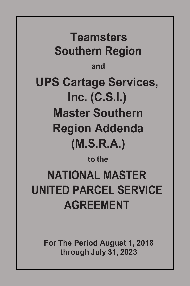**Teamsters Southern Region and UPS Cartage Services, Inc. (C.S.I.) Master Southern Region Addenda (M.S.R.A.) to the NATIONAL MASTER UNITED PARCEL SERVICE**

**AGREEMENT**

**For The Period August 1, 2018 through July 31, 2023**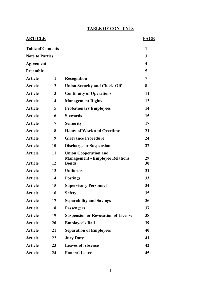# **TABLE OF CONTENTS**

| <b>ARTICLE</b>           |              |                                                        | <b>PAGE</b> |
|--------------------------|--------------|--------------------------------------------------------|-------------|
| <b>Table of Contents</b> |              |                                                        | 1           |
| <b>Note to Parties</b>   |              |                                                        | 3           |
| Agreement                |              |                                                        | 4           |
| Preamble                 |              |                                                        | 5           |
| <b>Article</b>           | 1            | Recognition                                            | 7           |
| <b>Article</b>           | $\mathbf{2}$ | <b>Union Security and Check-Off</b>                    | 8           |
| <b>Article</b>           | 3            | <b>Continuity of Operations</b>                        | 11          |
| <b>Article</b>           | 4            | <b>Management Rights</b>                               | 13          |
| <b>Article</b>           | 5            | <b>Probationary Employees</b>                          | 14          |
| <b>Article</b>           | 6            | <b>Stewards</b>                                        | 15          |
| <b>Article</b>           | 7            | <b>Seniority</b>                                       | 17          |
| <b>Article</b>           | 8            | <b>Hours of Work and Overtime</b>                      | 21          |
| <b>Article</b>           | 9            | <b>Grievance Procedure</b>                             | 24          |
| <b>Article</b>           | 10           | <b>Discharge or Suspension</b>                         | 27          |
| <b>Article</b>           | 11           | <b>Union Cooperation and</b>                           |             |
| <b>Article</b>           | 12           | <b>Management - Employee Relations</b><br><b>Bonds</b> | 29<br>30    |
| <b>Article</b>           | 13           | <b>Uniforms</b>                                        | 31          |
| <b>Article</b>           | 14           | <b>Postings</b>                                        | 33          |
| <b>Article</b>           | 15           | <b>Supervisory Personnel</b>                           | 34          |
| <b>Article</b>           | 16           | <b>Safety</b>                                          | 35          |
| <b>Article</b>           | 17           | <b>Separability and Savings</b>                        | 36          |
| <b>Article</b>           | 18           | <b>Passengers</b>                                      | 37          |
| <b>Article</b>           | 19           | <b>Suspension or Revocation of License</b>             | 38          |
| <b>Article</b>           | 20           | <b>Employee's Bail</b>                                 | 39          |
| <b>Article</b>           | 21           | <b>Separation of Employees</b>                         | 40          |
| <b>Article</b>           | 22           | <b>Jury Duty</b>                                       | 41          |
| <b>Article</b>           | 23           | <b>Leaves of Absence</b>                               | 42          |
| <b>Article</b>           | 24           | <b>Funeral Leave</b>                                   | 45          |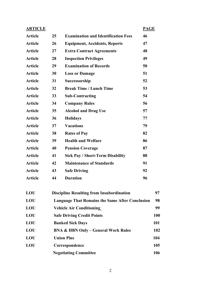| <b>ARTICLE</b> |                                                        |                                                  | <b>PAGE</b> |     |
|----------------|--------------------------------------------------------|--------------------------------------------------|-------------|-----|
| <b>Article</b> | 25                                                     | <b>Examination and Identification Fees</b>       | 46          |     |
| <b>Article</b> | 26                                                     | <b>Equipment, Accidents, Reports</b>             | 47          |     |
| <b>Article</b> | 27                                                     | <b>Extra Contract Agreements</b>                 | 48          |     |
| <b>Article</b> | 28                                                     | <b>Inspection Privileges</b>                     | 49          |     |
| <b>Article</b> | 29                                                     | <b>Examination of Records</b>                    | 50          |     |
| <b>Article</b> | 30                                                     | <b>Loss or Damage</b>                            | 51          |     |
| <b>Article</b> | 31                                                     | Successorship                                    | 52          |     |
| <b>Article</b> | 32                                                     | <b>Break Time / Lunch Time</b>                   | 53          |     |
| <b>Article</b> | 33                                                     | <b>Sub-Contracting</b>                           | 54          |     |
| <b>Article</b> | 34                                                     | <b>Company Rules</b>                             | 56          |     |
| <b>Article</b> | 35                                                     | <b>Alcohol and Drug Use</b>                      | 57          |     |
| <b>Article</b> | 36                                                     | <b>Holidays</b>                                  | 77          |     |
| <b>Article</b> | 37                                                     | <b>Vacations</b>                                 | 79          |     |
| <b>Article</b> | 38                                                     | <b>Rates of Pay</b>                              | 82          |     |
| <b>Article</b> | 39                                                     | <b>Health and Welfare</b>                        | 86          |     |
| <b>Article</b> | 40                                                     | <b>Pension Coverage</b>                          | 87          |     |
| <b>Article</b> | 41                                                     | <b>Sick Pay / Short-Term Disability</b>          | 88          |     |
| <b>Article</b> | 42                                                     | <b>Maintenance of Standards</b>                  | 91          |     |
| <b>Article</b> | 43                                                     | <b>Safe Driving</b>                              | 92          |     |
| <b>Article</b> | 44                                                     | <b>Duration</b>                                  | 96          |     |
| <b>LOU</b>     |                                                        | <b>Discipline Resulting from Insubordination</b> |             | 97  |
| <b>LOU</b>     | <b>Language That Remains the Same After Conclusion</b> |                                                  |             | 98  |
| <b>LOU</b>     | <b>Vehicle Air Conditioning</b>                        |                                                  |             | 99  |
| <b>LOU</b>     | <b>Safe Driving Credit Points</b>                      |                                                  |             | 100 |
| <b>LOU</b>     | <b>Banked Sick Days</b>                                |                                                  |             | 101 |
| LOU            | <b>BNA &amp; HBN Only - General Work Rules</b>         |                                                  |             | 102 |
| <b>LOU</b>     | <b>Union Pins</b>                                      |                                                  |             | 104 |
| <b>LOU</b>     | Correspondence                                         |                                                  |             | 105 |
|                | <b>Negotiating Committee</b>                           |                                                  |             | 106 |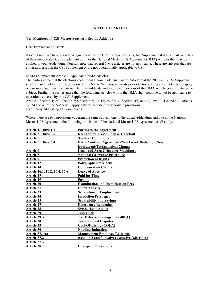#### **NOTE TO PARTIES**

#### **To: Members of CSI Master Southern Region Addenda**

Dear Brothers and Sisters:

As you know, we have a tentative agreement for the UPS Cartage Services, Inc. Supplemental Agreement. Article 2 of the re-negotiated CSI Supplement outlines the National Master UPS Agreement (NMA) Articles that may be applied to your Addendum. You will note that several NMA articles are not applicable. These are subjects that are either addressed in the CSI Supplement or are not operationally applicable to CSI.

(NMA) Supplement Article 2: Applicable NMA Articles

The parties agree that the elections each Local Union made pursuant to Article 2 of the 2008-2013 CSI Supplement shall remain in effect for the duration of this NMA. With respect to its prior elections, a Local cannot elect to apply one or more Sections from an Article in its Addenda and also select portions of the NMA Article covering the same subject. Further the parties agree that the following Articles within the NMA shall continue to not be applicable to operations covered by this CSI Supplement:

Article 1 Section 4; 2; 3 Section 7; 6 Section 5; 10; 18; 26; 32; 37 Section 1(b) and (c); 39; 40; 43; and 44. Articles 22, 34 and 41 of the NMA will apply only to the extent they contain provisions specifically addressing CSI employees.

Where there are two provisions covering the same subject, one in the Local Addendum and one in the National Master UPS Agreement, the following provisions of the National Master UPS Agreement shall apply:

| Article 1.1 thru 1.3           | <b>Parties to the Agreement</b>                         |
|--------------------------------|---------------------------------------------------------|
| Article 3.1 thru 3.6           | Recognition, Union Shop & Checkoff                      |
| Article 5                      | <b>Sanitary Conditions</b>                              |
| Article 6.1 thru 6.4           | <b>Extra Contract Agreements/Workweek Reduction/New</b> |
|                                | <b>Equipment/Technological Change</b>                   |
| <b>Article 7</b>               | <b>Local and Area Grievance Machinery</b>               |
| Article 8                      | <b>National Grievance Procedure</b>                     |
| Article 9                      | <b>Protection of Rights</b>                             |
| <b>Article 12</b>              | Polygraph/Timeclocks                                    |
| <b>Article 14</b>              | <b>Compensation Claims</b>                              |
| Article 16.1, 16.2, 16.4, 16.6 | <b>Leave of Absence</b>                                 |
| <b>Article 17</b>              | <b>Paid for Time</b>                                    |
| <b>Article 19</b>              | Posting                                                 |
| <b>Article 20</b>              | <b>Examination and Identification Fees</b>              |
| <b>Article 21</b>              | <b>Union Activity</b>                                   |
| <b>Article 23</b>              | <b>Separation of Employment</b>                         |
| <b>Article 24</b>              | <b>Inspection Privileges</b>                            |
| <b>Article 25</b>              | <b>Separability and Savings</b>                         |
| <b>Article 27</b>              | <b>Emergency Reopening</b>                              |
| <b>Article 28</b>              | <b>Sympathetic Action</b>                               |
| <b>Article 29.1</b>            | <b>Jury Duty</b>                                        |
| <b>Article 29.3</b>            | <b>Tax Deferred Savings Plan 401(k)</b>                 |
| Article 30                     | <b>Jurisdictional Disputes</b>                          |
| Article 33                     | <b>Cost-Of-Living (COLA)</b>                            |
| <b>Article 36</b>              | Nondiscrimination                                       |
| Article $37.1(a)$              | <b>Management Employee Relations</b>                    |
| <b>Article 37.2</b>            | (Section 2 and 3 involves excessive OJS rides)          |
| Article 37.3                   |                                                         |
| <b>Article 38</b>              | <b>Change of Operations</b>                             |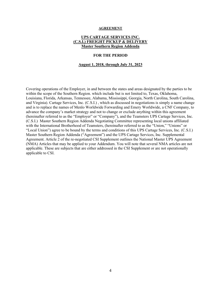#### **AGREEMENT**

## **UPS CARTAGE SERVICES INC. (C.S.I.) FREIGHT PICKUP & DELIVERY Master Southern Region Addenda**

#### **FOR THE PERIOD**

#### **August 1, 2018, through July 31, 2023**

Covering operations of the Employer, in and between the states and areas designated by the parties to be within the scope of the Southern Region. which include but is not limited to, Texas, Oklahoma, Louisiana, Florida, Arkansas, Tennessee, Alabama, Mississippi, Georgia, North Carolina, South Carolina, and Virginia). Cartage Services, Inc. (C.S.I.) , which as discussed in negotiations is simply a name change and is to replace the names of Menlo Worldwide Forwarding and Emery Worldwide, a CNF Company, to advance the company's market strategy and not to change or exclude anything within this agreement (hereinafter referred to as the "Employer" or "Company"), and the Teamsters UPS Cartage Services, Inc. (C.S.I.) Master Southern Region Addenda Negotiating Committee representing local unions affiliated with the International Brotherhood of Teamsters, (hereinafter referred to as the "Union," "Unions" or "Local Union") agree to be bound by the terms and conditions of this UPS Cartage Services, Inc. (C.S.I.) Master Southern Region Addenda ("Agreement") and the UPS Cartage Services, Inc. Supplemental Agreement. Article 2 of the re-negotiated CSI Supplement outlines the National Master UPS Agreement (NMA) Articles that may be applied to your Addendum. You will note that several NMA articles are not applicable. These are subjects that are either addressed in the CSI Supplement or are not operationally applicable to CSI.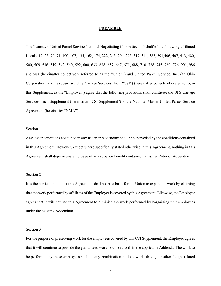#### **PREAMBLE**

The Teamsters United Parcel Service National Negotiating Committee on behalf of the following affiliated Locals: 17, 25, 70, 71, 100, 107, 135, 162, 174, 222, 243, 294, 295, 317, 344, 385, 391,406, 407, 413, 480, 500, 509, 516, 519, 542, 560, 592, 600, 633, 638, 657, 667, 671, 688, 710, 728, 745, 769, 776, 901, 986 and 988 (hereinafter collectively referred to as the "Union") and United Parcel Service, Inc. (an Ohio Corporation) and its subsidiary UPS Cartage Services, Inc. ("CSI") (hereinafter collectively referred to, in this Supplement, as the "Employer") agree that the following provisions shall constitute the UPS Cartage Services, Inc., Supplement (hereinafter "CSI Supplement") to the National Master United Parcel Service Agreement (hereinafter "NMA").

## Section 1

Any lesser conditions contained in any Rider or Addendum shall be superseded by the conditions contained in this Agreement. However, except where specifically stated otherwise in this Agreement, nothing in this Agreement shall deprive any employee of any superior benefit contained in his/her Rider or Addendum.

## Section 2

It is the parties' intent that this Agreement shall not be a basis for the Union to expand its work by claiming that the work performed by affiliates of the Employer is covered by this Agreement. Likewise, the Employer agrees that it will not use this Agreement to diminish the work performed by bargaining unit employees under the existing Addendum.

## Section 3

For the purpose of preserving work for the employees covered by this CSI Supplement, the Employer agrees that it will continue to provide the guaranteed work hours set forth in the applicable Addenda. The work to be performed by these employees shall be any combination of dock work, driving or other freight-related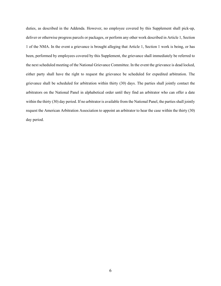duties, as described in the Addenda. However, no employee covered by this Supplement shall pick-up, deliver or otherwise progress parcels or packages, or perform any other work described in Article 1, Section 1 of the NMA. In the event a grievance is brought alleging that Article 1, Section 1 work is being, or has been, performed by employees covered by this Supplement, the grievance shall immediately be referred to the next scheduled meeting of the National Grievance Committee. In the event the grievance is dead locked, either party shall have the right to request the grievance be scheduled for expedited arbitration. The grievance shall be scheduled for arbitration within thirty (30) days. The parties shall jointly contact the arbitrators on the National Panel in alphabetical order until they find an arbitrator who can offer a date within the thirty (30) day period. If no arbitrator is available from the National Panel, the parties shall jointly request the American Arbitration Association to appoint an arbitrator to hear the case within the thirty (30) day period.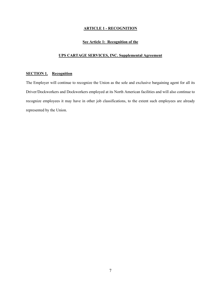# **ARTICLE 1 - RECOGNITION**

# **See Article 1: Recognition of the**

# **UPS CARTAGE SERVICES, INC. Supplemental Agreement**

## **SECTION 1. Recognition**

The Employer will continue to recognize the Union as the sole and exclusive bargaining agent for all its Driver/Dockworkers and Dockworkers employed at its North American facilities and will also continue to recognize employees it may have in other job classifications, to the extent such employees are already represented by the Union.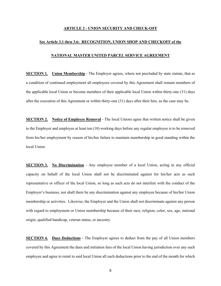## **ARTICLE 2 - UNION SECURITY AND CHECK-OFF**

#### **See Article 3.1 thru 3.6: RECOGNITION, UNION SHOP AND CHECKOFF of the**

#### **NATIONAL MASTER UNITED PARCEL SERVICE AGREEMENT**

**SECTION 1. Union Membership** - The Employer agrees, where not precluded by state statute, that as a condition of continued employment all employees covered by this Agreement shall remain members of the applicable local Union or become members of their applicable local Union within thirty-one (31) days after the execution of this Agreement or within thirty-one (31) days after their hire, as the case may be.

**SECTION 2. Notice of Employee Removal** - The local Unions agree that written notice shall be given to the Employer and employee at least ten (10) working days before any regular employee is to be removed from his/her employment by reason of his/her failure to maintain membership in good standing within the local Union.

**SECTION 3.** No Discrimination - Any employee member of a local Union, acting in any official capacity on behalf of the local Union shall not be discriminated against for his/her acts as such representative or officer of the local Union, so long as such acts do not interfere with the conduct of the Employer's business, nor shall there be any discrimination against any employee because of his/her Union membership or activities. Likewise, the Employer and the Union shall not discriminate against any person with regard to employment or Union membership because of their race, religion, color, sex, age, national origin, qualified handicap, veteran status, or ancestry.

**SECTION 4. Dues Deductions** - The Employer agrees to deduct from the pay of all Union members covered by this Agreement the dues and initiation fees of the local Union having jurisdiction over any such employee and agree to remit to said local Union all such deductions prior to the end of the month for which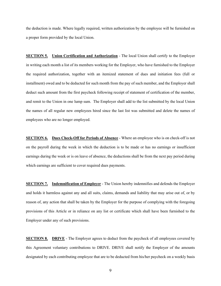the deduction is made. Where legally required, written authorization by the employee will be furnished on a proper form provided by the local Union.

**SECTION 5. Union Certification and Authorization** - The local Union shall certify to the Employer in writing each month a list of its members working for the Employer, who have furnished to the Employer the required authorization, together with an itemized statement of dues and initiation fees (full or installment) owed and to be deducted for such month from the pay of such member, and the Employer shall deduct such amount from the first paycheck following receipt of statement of certification of the member, and remit to the Union in one lump sum. The Employer shall add to the list submitted by the local Union the names of all regular new employees hired since the last list was submitted and delete the names of employees who are no longer employed.

**SECTION 6. Dues Check-Off for Periods of Absence** - Where an employee who is on check-off is not on the payroll during the week in which the deduction is to be made or has no earnings or insufficient earnings during the week or is on leave of absence, the deductions shall be from the next pay period during which earnings are sufficient to cover required dues payments.

**SECTION 7. Indemnification of Employer** - The Union hereby indemnifies and defends the Employer and holds it harmless against any and all suits, claims, demands and liability that may arise out of, or by reason of, any action that shall be taken by the Employer for the purpose of complying with the foregoing provisions of this Article or in reliance on any list or certificate which shall have been furnished to the Employer under any of such provisions.

**SECTION 8. DRIVE** - The Employer agrees to deduct from the paycheck of all employees covered by this Agreement voluntary contributions to DRIVE. DRIVE shall notify the Employer of the amounts designated by each contributing employee that are to be deducted from his/her paycheck on a weekly basis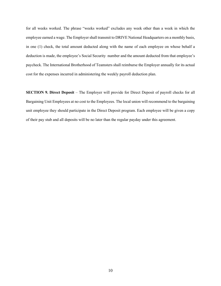for all weeks worked. The phrase "weeks worked" excludes any week other than a week in which the employee earned a wage. The Employer shall transmit to DRIVE National Headquarters on a monthly basis, in one (1) check, the total amount deducted along with the name of each employee on whose behalf a deduction is made, the employee's Social Security number and the amount deducted from that employee's paycheck. The International Brotherhood of Teamsters shall reimburse the Employer annually for its actual cost for the expenses incurred in administering the weekly payroll deduction plan.

**SECTION 9. Direct Deposit** – The Employer will provide for Direct Deposit of payroll checks for all Bargaining Unit Employees at no cost to the Employees. The local union will recommend to the bargaining unit employee they should participate in the Direct Deposit program. Each employee will be given a copy of their pay stub and all deposits will be no later than the regular payday under this agreement.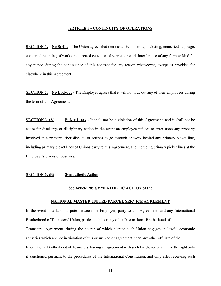#### **ARTICLE 3 - CONTINUITY OF OPERATIONS**

**SECTION 1. No Strike** - The Union agrees that there shall be no strike, picketing, concerted stoppage, concerted retarding of work or concerted cessation of service or work interference of any form or kind for any reason during the continuance of this contract for any reason whatsoever, except as provided for elsewhere in this Agreement.

**SECTION 2. No Lockout** - The Employer agrees that it will not lock out any of their employees during the term of this Agreement.

**SECTION 3. (A) Picket Lines** - It shall not be a violation of this Agreement, and it shall not be cause for discharge or disciplinary action in the event an employee refuses to enter upon any property involved in a primary labor dispute, or refuses to go through or work behind any primary picket line, including primary picket lines of Unions party to this Agreement, and including primary picket lines at the Employer's places of business.

#### **SECTION 3. (B) Sympathetic Action**

#### **See Article 28: SYMPATHETIC ACTION of the**

#### **NATIONAL MASTER UNITED PARCEL SERVICE AGREEMENT**

In the event of a labor dispute between the Employer, party to this Agreement, and any International Brotherhood of Teamsters' Union, parties to this or any other International Brotherhood of Teamsters' Agreement, during the course of which dispute such Union engages in lawful economic activities which are not in violation of this or such other agreement, then any other affiliate of the International Brotherhood of Teamsters, having an agreement with such Employer, shall have the right only if sanctioned pursuant to the procedures of the International Constitution, and only after receiving such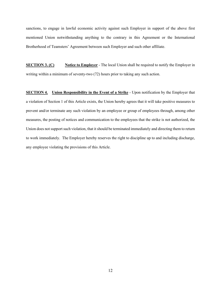sanctions, to engage in lawful economic activity against such Employer in support of the above first mentioned Union notwithstanding anything to the contrary in this Agreement or the International Brotherhood of Teamsters' Agreement between such Employer and such other affiliate.

**SECTION 3. (C) Notice to Employer** - The local Union shall be required to notify the Employer in writing within a minimum of seventy-two (72) hours prior to taking any such action.

**SECTION 4.** Union Responsibility in the Event of a Strike - Upon notification by the Employer that a violation of Section 1 of this Article exists, the Union hereby agrees that it will take positive measures to prevent and/or terminate any such violation by an employee or group of employees through, among other measures, the posting of notices and communication to the employees that the strike is not authorized, the Union does not support such violation, that it should be terminated immediately and directing them to return to work immediately. The Employer hereby reserves the right to discipline up to and including discharge, any employee violating the provisions of this Article.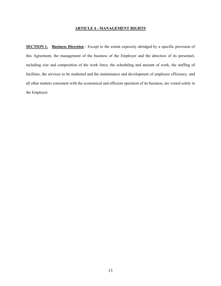## **ARTICLE 4 - MANAGEMENT RIGHTS**

**SECTION 1. Business Direction** - Except to the extent expressly abridged by a specific provision of this Agreement, the management of the business of the Employer and the direction of its personnel, including size and composition of the work force, the scheduling and amount of work, the staffing of facilities, the services to be marketed and the maintenance and development of employee efficiency, and all other matters consistent with the economical and efficient operation of its business, are vested solely in the Employer.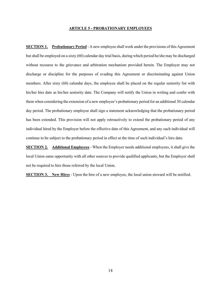#### **ARTICLE 5 - PROBATIONARY EMPLOYEES**

**SECTION 1. Probationary Period** - A new employee shall work under the provisions of this Agreement but shall be employed on a sixty (60) calendar day trial basis, during which period he/she may be discharged without recourse to the grievance and arbitration mechanism provided herein. The Employer may not discharge or discipline for the purposes of evading this Agreement or discriminating against Union members. After sixty (60) calendar days, the employee shall be placed on the regular seniority list with his/her hire date as his/her seniority date. The Company will notify the Union in writing and confer with them when considering the extension of a new employee's probationary period for an additional 30 calendar day period. The probationary employee shall sign a statement acknowledging that the probationary period has been extended. This provision will not apply retroactively to extend the probationary period of any individual hired by the Employer before the effective date of this Agreement, and any such individual will continue to be subject to the probationary period in effect at the time of such individual's hire date.

**SECTION 2. Additional Employees** - When the Employer needs additional employees, it shall give the local Union same opportunity with all other sources to provide qualified applicants, but the Employer shall not be required to hire those referred by the local Union.

**SECTION 3. New Hires** - Upon the hire of a new employee, the local union steward will be notified.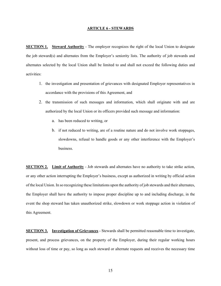#### **ARTICLE 6 - STEWARDS**

**SECTION 1.** Steward Authority - The employer recognizes the right of the local Union to designate the job steward(s) and alternates from the Employer's seniority lists. The authority of job stewards and alternates selected by the local Union shall be limited to and shall not exceed the following duties and activities:

- 1. the investigation and presentation of grievances with designated Employer representatives in accordance with the provisions of this Agreement, and
- 2. the transmission of such messages and information, which shall originate with and are authorized by the local Union or its officers provided such message and information:
	- a. has been reduced to writing, or
	- b. if not reduced to writing, are of a routine nature and do not involve work stoppages, slowdowns, refusal to handle goods or any other interference with the Employer's business.

**SECTION 2. Limit of Authority** - Job stewards and alternates have no authority to take strike action, or any other action interrupting the Employer's business, except as authorized in writing by official action of the local Union. In so recognizing these limitations upon the authority of job stewards and their alternates, the Employer shall have the authority to impose proper discipline up to and including discharge, in the event the shop steward has taken unauthorized strike, slowdown or work stoppage action in violation of this Agreement.

**SECTION 3. Investigation of Grievances** - Stewards shall be permitted reasonable time to investigate, present, and process grievances, on the property of the Employer, during their regular working hours without loss of time or pay, so long as such steward or alternate requests and receives the necessary time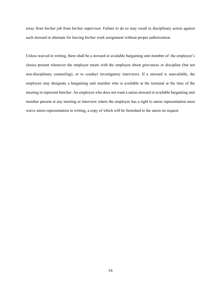away from his/her job from his/her supervisor. Failure to do so may result in disciplinary action against such steward or alternate for leaving his/her work assignment without proper authorization.

Unless waived in writing, there shall be a steward or available bargaining unit member of the employee's choice present whenever the employer meets with the employee about grievances or discipline (but not non-disciplinary counseling), or to conduct investigatory interviews. If a steward is unavailable, the employee may designate a bargaining unit member who is available at the terminal at the time of the meeting to represent him/her. An employee who does not want a union steward or available bargaining unit member present at any meeting or interview where the employee has a right to union representation must waive union representation in writing, a copy of which will be furnished to the union on request.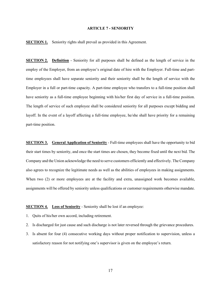#### **ARTICLE 7 - SENIORITY**

**SECTION 1.** Seniority rights shall prevail as provided in this Agreement.

**SECTION 2. Definition** - Seniority for all purposes shall be defined as the length of service in the employ of the Employer, from an employee's original date of hire with the Employer. Full-time and parttime employees shall have separate seniority and their seniority shall be the length of service with the Employer in a full or part-time capacity. A part-time employee who transfers to a full-time position shall have seniority as a full-time employee beginning with his/her first day of service in a full-time position. The length of service of such employee shall be considered seniority for all purposes except bidding and layoff. In the event of a layoff affecting a full-time employee, he/she shall have priority for a remaining part-time position.

**SECTION 3. General Application of Seniority** - Full-time employees shall have the opportunity to bid their start times by seniority, and once the start times are chosen, they become fixed until the next bid. The Company and the Union acknowledge the need to serve customers efficiently and effectively. The Company also agrees to recognize the legitimate needs as well as the abilities of employees in making assignments. When two (2) or more employees are at the facility and extra, unassigned work becomes available, assignments will be offered by seniority unless qualifications or customer requirements otherwise mandate.

## **SECTION 4. Loss of Seniority** - Seniority shall be lost if an employee:

- 1. Quits of his/her own accord, including retirement.
- 2. Is discharged for just cause and such discharge is not later reversed through the grievance procedures.
- 3. Is absent for four (4) consecutive working days without proper notification to supervision, unless a satisfactory reason for not notifying one's supervisor is given on the employee's return.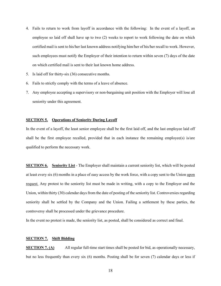- 4. Fails to return to work from layoff in accordance with the following: In the event of a layoff, an employee so laid off shall have up to two (2) weeks to report to work following the date on which certified mail is sent to his/her last known address notifying him/her of his/her recall to work. However, such employees must notify the Employer of their intention to return within seven (7) days of the date on which certified mail is sent to their last known home address.
- 5. Is laid off for thirty-six (36) consecutive months.
- 6. Fails to strictly comply with the terms of a leave of absence.
- 7. Any employee accepting a supervisory or non-bargaining unit position with the Employer will lose all seniority under this agreement.

#### **SECTION 5. Operations of Seniority During Layoff**

In the event of a layoff, the least senior employee shall be the first laid off, and the last employee laid off shall be the first employee recalled, provided that in each instance the remaining employee(s) is/are qualified to perform the necessary work.

**SECTION 6. Seniority List** - The Employer shall maintain a current seniority list, which will be posted at least every six (6) months in a place of easy access by the work force, with a copy sent to the Union upon request*.* Any protest to the seniority list must be made in writing, with a copy to the Employer and the Union, within thirty (30) calendar days from the date of posting of the seniority list. Controversies regarding seniority shall be settled by the Company and the Union. Failing a settlement by these parties, the controversy shall be processed under the grievance procedure.

In the event no protest is made, the seniority list, as posted, shall be considered as correct and final.

## **SECTION 7. Shift Bidding**

**SECTION 7. (A)** All regular full-time start times shall be posted for bid, as operationally necessary, but no less frequently than every six (6) months. Posting shall be for seven (7) calendar days or less if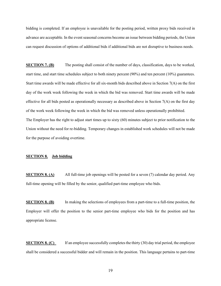bidding is completed. If an employee is unavailable for the posting period, written proxy bids received in advance are acceptable. In the event seasonal concerns become an issue between bidding periods, the Union can request discussion of options of additional bids if additional bids are not disruptive to business needs.

**SECTION 7. (B)** The posting shall consist of the number of days, classification, days to be worked, start time, and start time schedules subject to both ninety percent (90%) and ten percent (10%) guarantees. Start time awards will be made effective for all six-month bids described above in Section 7(A) on the first day of the work week following the week in which the bid was removed. Start time awards will be made effective for all bids posted as operationally necessary as described above in Section 7(A) on the first day of the work week following the week in which the bid was removed unless operationally prohibited. The Employer has the right to adjust start times up to sixty (60) minutes subject to prior notification to the Union without the need for re-bidding. Temporary changes in established work schedules will not be made for the purpose of avoiding overtime.

#### **SECTION 8. Job bidding**

**SECTION 8. (A)** All full-time job openings will be posted for a seven (7) calendar day period. Any full-time opening will be filled by the senior, qualified part-time employee who bids.

**SECTION 8. (B)** In making the selections of employees from a part-time to a full-time position, the Employer will offer the position to the senior part-time employee who bids for the position and has appropriate license.

**SECTION 8. (C)** If an employee successfully completes the thirty (30) day trial period, the employee shall be considered a successful bidder and will remain in the position. This language pertains to part-time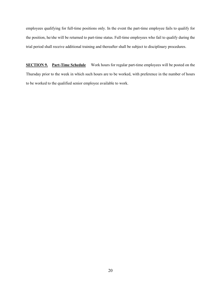employees qualifying for full-time positions only. In the event the part-time employee fails to qualify for the position, he/she will be returned to part-time status. Full-time employees who fail to qualify during the trial period shall receive additional training and thereafter shall be subject to disciplinary procedures.

**SECTION 9. Part-Time Schedule** Work hours for regular part-time employees will be posted on the Thursday prior to the week in which such hours are to be worked, with preference in the number of hours to be worked to the qualified senior employee available to work.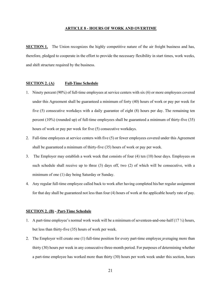#### **ARTICLE 8 - HOURS OF WORK AND OVERTIME**

**SECTION 1.** The Union recognizes the highly competitive nature of the air freight business and has, therefore, pledged to cooperate in the effort to provide the necessary flexibility in start times, work weeks, and shift structure required by the business.

## **SECTION 2. (A) Full-Time Schedule**

- 1. Ninety percent (90%) of full-time employees at service centers with six (6) or more employees covered under this Agreement shall be guaranteed a minimum of forty (40) hours of work or pay per week for five (5) consecutive workdays with a daily guarantee of eight (8) hours per day. The remaining ten percent (10%) (rounded up) of full-time employees shall be guaranteed a minimum of thirty-five (35) hours of work or pay per week for five (5) consecutive workdays.
- 2. Full-time employees at service centers with five (5) or fewer employees covered under this Agreement shall be guaranteed a minimum of thirty-five (35) hours of work or pay per week.
- 3. The Employer may establish a work week that consists of four (4) ten (10) hour days. Employees on such schedule shall receive up to three (3) days off, two (2) of which will be consecutive, with a minimum of one (1) day being Saturday or Sunday.
- 4. Any regular full-time employee called back to work after having completed his/her regular assignment for that day shall be guaranteed not less than four (4) hours of work at the applicable hourly rate of pay.

#### **SECTION 2. (B) - Part-Time Schedule**

- 1. A part-time employee's normal work week will be a minimum of seventeen-and-one-half (17 ½) hours, but less than thirty-five (35) hours of work per week.
- 2. The Employer will create one (1) full-time position for every part-time employee averaging more than thirty (30) hours per week in any consecutive three-month period. For purposes of determining whether a part-time employee has worked more than thirty (30) hours per work week under this section, hours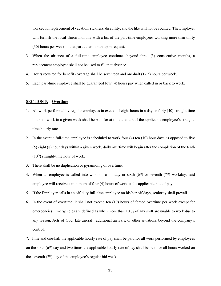worked for replacement of vacation, sickness, disability, and the like will not be counted. The Employer will furnish the local Union monthly with a list of the part-time employees working more than thirty (30) hours per week in that particular month upon request.

- 3. When the absence of a full-time employee continues beyond three (3) consecutive months, a replacement employee shall not be used to fill that absence.
- 4. Hours required for benefit coverage shall be seventeen and one-half (17.5) hours per week.
- 5. Each part-time employee shall be guaranteed four (4) hours pay when called in or back to work.

## **SECTION 3. Overtime**

- 1. All work performed by regular employees in excess of eight hours in a day or forty (40) straight-time hours of work in a given week shall be paid for at time-and-a-half the applicable employee's straighttime hourly rate.
- 2. In the event a full-time employee is scheduled to work four (4) ten (10) hour days as opposed to five (5) eight (8) hour days within a given week, daily overtime will begin after the completion of the tenth  $(10<sup>th</sup>)$  straight-time hour of work.
- 3. There shall be no duplication or pyramiding of overtime.
- 4. When an employee is called into work on a holiday or sixth  $(6<sup>th</sup>)$  or seventh  $(7<sup>th</sup>)$  workday, said employee will receive a minimum of four (4) hours of work at the applicable rate of pay.
- 5. If the Employer calls in an off-duty full-time employee on his/her off days, seniority shall prevail.
- 6. In the event of overtime, it shall not exceed ten (10) hours of forced overtime per week except for emergencies. Emergencies are defined as when more than 10 % of any shift are unable to work due to any reason, Acts of God, late aircraft, additional arrivals, or other situations beyond the company's control.

7. Time and one-half the applicable hourly rate of pay shall be paid for all work performed by employees on the sixth  $(6<sup>th</sup>)$  day and two times the applicable hourly rate of pay shall be paid for all hours worked on the seventh  $(7<sup>th</sup>)$  day of the employee's regular bid week.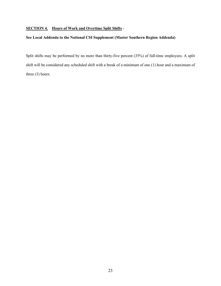# **SECTION 4. Hours of Work and Overtime Split Shifts** -

# **See Local Addenda to the National CSI Supplement (Master Southern Region Addenda)**

Split shifts may be performed by no more than thirty-five percent (35%) of full-time employees. A split shift will be considered any scheduled shift with a break of a minimum of one (1) hour and a maximum of three (3) hours.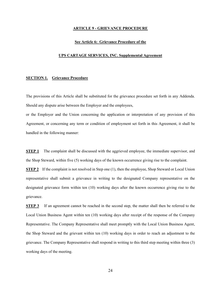#### **ARTICLE 9 - GRIEVANCE PROCEDURE**

#### **See Article 6: Grievance Procedure of the**

#### **UPS CARTAGE SERVICES, INC. Supplemental Agreement**

#### **SECTION 1. Grievance Procedure**

The provisions of this Article shall be substituted for the grievance procedure set forth in any Addenda. Should any dispute arise between the Employer and the employees,

or the Employer and the Union concerning the application or interpretation of any provision of this Agreement, or concerning any term or condition of employment set forth in this Agreement, it shall be handled in the following manner:

**STEP 1** The complaint shall be discussed with the aggrieved employee, the immediate supervisor, and the Shop Steward, within five (5) working days of the known occurrence giving rise to the complaint.

**STEP 2** If the complaint is not resolved in Step one (1), then the employee, Shop Steward or Local Union representative shall submit a grievance in writing to the designated Company representative on the designated grievance form within ten (10) working days after the known occurrence giving rise to the grievance.

**STEP 3** If an agreement cannot be reached in the second step, the matter shall then be referred to the Local Union Business Agent within ten (10) working days after receipt of the response of the Company Representative. The Company Representative shall meet promptly with the Local Union Business Agent, the Shop Steward and the grievant within ten (10) working days in order to reach an adjustment to the grievance. The Company Representative shall respond in writing to this third step meeting within three (3) working days of the meeting.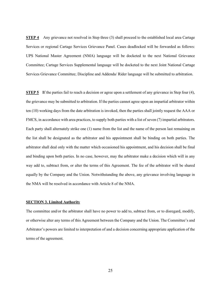**STEP 4** Any grievance not resolved in Step three (3) shall proceed to the established local area Cartage Services or regional Cartage Services Grievance Panel. Cases deadlocked will be forwarded as follows: UPS National Master Agreement (NMA) language will be docketed to the next National Grievance Committee; Cartage Services Supplemental language will be docketed to the next Joint National Cartage Services Grievance Committee; Discipline and Addenda/ Rider language will be submitted to arbitration.

**STEP 5 I**f the parties fail to reach a decision or agree upon a settlement of any grievance in Step four (4), the grievance may be submitted to arbitration. If the parties cannot agree upon an impartial arbitrator within ten (10) working days from the date arbitration is invoked, then the parties shall jointly request the AAA or FMCS, in accordance with area practices, to supply both parties with a list of seven (7) impartial arbitrators. Each party shall alternately strike one (1) name from the list and the name of the person last remaining on the list shall be designated as the arbitrator and his appointment shall be binding on both parties. The arbitrator shall deal only with the matter which occasioned his appointment, and his decision shall be final and binding upon both parties. In no case, however, may the arbitrator make a decision which will in any way add to, subtract from, or alter the terms of this Agreement. The fee of the arbitrator will be shared equally by the Company and the Union. Notwithstanding the above, any grievance involving language in the NMA will be resolved in accordance with Article 8 of the NMA.

#### **SECTION 3. Limited Authority**

The committee and/or the arbitrator shall have no power to add to, subtract from, or to disregard, modify, or otherwise alter any terms of this Agreement between the Company and the Union. The Committee's and Arbitrator's powers are limited to interpretation of and a decision concerning appropriate application of the terms of the agreement.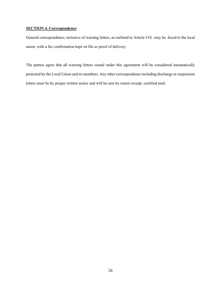# **SECTION 4. Correspondence**

General correspondence, inclusive of warning letters, as outlined in Article #10, may be faxed to the local union, with a fax confirmation kept on file as proof of delivery.

The parties agree that all warning letters issued under this agreement will be considered automatically protested by the Local Union and its members. Any other correspondence including discharge or suspension letters must be by proper written notice and will be sent by return receipt, certified mail.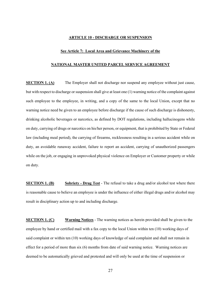## **ARTICLE 10 - DISCHARGE OR SUSPENSION**

#### **See Article 7: Local Area and Grievance Machinery of the**

#### **NATIONAL MASTER UNITED PARCEL SERVICE AGREEMENT**

**SECTION 1. (A)** The Employer shall not discharge nor suspend any employee without just cause, but with respect to discharge or suspension shall give at least one (1) warning notice of the complaint against such employee to the employee, in writing, and a copy of the same to the local Union, except that no warning notice need be given to an employee before discharge if the cause of such discharge is dishonesty, drinking alcoholic beverages or narcotics, as defined by DOT regulations, including hallucinogens while on duty, carrying of drugs or narcotics on his/her person, or equipment, that is prohibited by State or Federal law (including meal period), the carrying of firearms, recklessness resulting in a serious accident while on duty, an avoidable runaway accident, failure to report an accident, carrying of unauthorized passengers while on the job, or engaging in unprovoked physical violence on Employer or Customer property or while on duty.

**SECTION 1. (B) Sobriety - Drug Test** - The refusal to take a drug and/or alcohol test where there is reasonable cause to believe an employee is under the influence of either illegal drugs and/or alcohol may result in disciplinary action up to and including discharge.

**SECTION 1. (C) Warning Notices** - The warning notices as herein provided shall be given to the employee by hand or certified mail with a fax copy to the local Union within ten (10) working days of said complaint or within ten (10) working days of knowledge of said complaint and shall not remain in effect for a period of more than six (6) months from date of said warning notice. Warning notices are deemed to be automatically grieved and protested and will only be used at the time of suspension or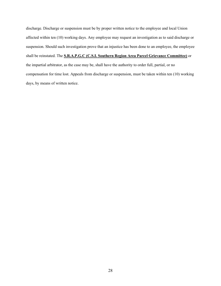discharge. Discharge or suspension must be by proper written notice to the employee and local Union affected within ten (10) working days. Any employee may request an investigation as to said discharge or suspension. Should such investigation prove that an injustice has been done to an employee, the employee shall be reinstated. The **S.R.A.P.G.C (C.S.I. Southern Region Area Parcel Grievance Committee)** or the impartial arbitrator, as the case may be, shall have the authority to order full, partial, or no compensation for time lost. Appeals from discharge or suspension, must be taken within ten (10) working days, by means of written notice.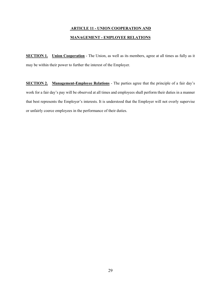# **ARTICLE 11 - UNION COOPERATION AND MANAGEMENT - EMPLOYEE RELATIONS**

**SECTION 1. Union Cooperation** - The Union, as well as its members, agree at all times as fully as it may be within their power to further the interest of the Employer.

**SECTION 2. Management-Employee Relations** - The parties agree that the principle of a fair day's work for a fair day's pay will be observed at all times and employees shall perform their duties in a manner that best represents the Employer's interests. It is understood that the Employer will not overly supervise or unfairly coerce employees in the performance of their duties.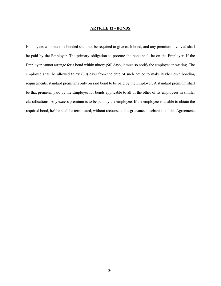#### **ARTICLE 12 - BONDS**

Employees who must be bonded shall not be required to give cash bond, and any premium involved shall be paid by the Employer. The primary obligation to procure the bond shall be on the Employer. If the Employer cannot arrange for a bond within ninety (90) days, it must so notify the employee in writing. The employee shall be allowed thirty (30) days from the date of such notice to make his/her own bonding requirements, standard premiums only on said bond to be paid by the Employer. A standard premium shall be that premium paid by the Employer for bonds applicable to all of the other of its employees in similar classifications. Any excess premium is to be paid by the employee. If the employee is unable to obtain the required bond, he/she shall be terminated, without recourse to the grievance mechanism of this Agreement.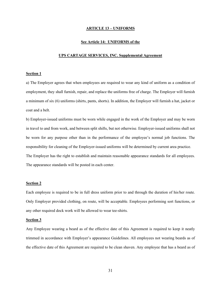#### **ARTICLE 13 – UNIFORMS**

#### **See Article 14: UNIFORMS of the**

#### **UPS CARTAGE SERVICES, INC. Supplemental Agreement**

#### **Section 1**

a) The Employer agrees that when employees are required to wear any kind of uniform as a condition of employment, they shall furnish, repair, and replace the uniforms free of charge. The Employer will furnish a minimum of six (6) uniforms (shirts, pants, shorts). In addition, the Employer will furnish a hat, jacket or coat and a belt.

b) Employer-issued uniforms must be worn while engaged in the work of the Employer and may be worn in travel to and from work, and between split shifts, but not otherwise. Employer-issued uniforms shall not be worn for any purpose other than in the performance of the employee's normal job functions. The responsibility for cleaning of the Employer-issued uniforms will be determined by current area practice. The Employer has the right to establish and maintain reasonable appearance standards for all employees. The appearance standards will be posted in each center.

## **Section 2**

Each employee is required to be in full dress uniform prior to and through the duration of his/her route. Only Employer provided clothing, on route, will be acceptable. Employees performing sort functions, or any other required dock work will be allowed to wear tee-shirts.

#### **Section 3**

Any Employee wearing a beard as of the effective date of this Agreement is required to keep it neatly trimmed in accordance with Employer's appearance Guidelines. All employees not wearing beards as of the effective date of this Agreement are required to be clean shaven. Any employee that has a beard as of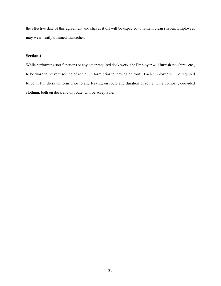the effective date of this agreement and shaves it off will be expected to remain clean shaven. Employees may wear neatly trimmed mustaches.

## **Section 4**

While performing sort functions or any other required dock work, the Employer will furnish tee-shirts, etc., to be worn to prevent soiling of actual uniform prior to leaving on route. Each employee will be required to be in full dress uniform prior to and leaving on route and duration of route. Only company-provided clothing, both on dock and on route, will be acceptable.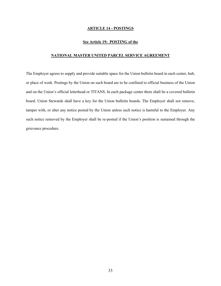#### **ARTICLE 14 - POSTINGS**

#### **See Article 19: POSTING of the**

## **NATIONAL MASTER UNITED PARCEL SERVICE AGREEMENT**

The Employer agrees to supply and provide suitable space for the Union bulletin board in each center, hub, or place of work. Postings by the Union on such board are to be confined to official business of the Union and on the Union's official letterhead or TITANS. In each package center there shall be a covered bulletin board. Union Stewards shall have a key for the Union bulletin boards. The Employer shall not remove, tamper with, or alter any notice posted by the Union unless such notice is harmful to the Employer. Any such notice removed by the Employer shall be re-posted if the Union's position is sustained through the grievance procedure.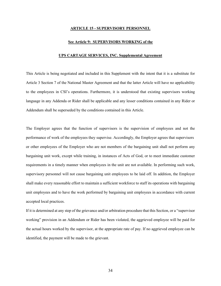#### **ARTICLE 15 - SUPERVISORY PERSONNEL**

#### **See Article 9: SUPERVISORS WORKING of the**

#### **UPS CARTAGE SERVICES, INC. Supplemental Agreement**

This Article is being negotiated and included in this Supplement with the intent that it is a substitute for Article 3 Section 7 of the National Master Agreement and that the latter Article will have no applicability to the employees in CSI's operations. Furthermore, it is understood that existing supervisors working language in any Addenda or Rider shall be applicable and any lesser conditions contained in any Rider or Addendum shall be superseded by the conditions contained in this Article.

The Employer agrees that the function of supervisors is the supervision of employees and not the performance of work of the employees they supervise. Accordingly, the Employer agrees that supervisors or other employees of the Employer who are not members of the bargaining unit shall not perform any bargaining unit work, except while training, in instances of Acts of God, or to meet immediate customer requirements in a timely manner when employees in the unit are not available. In performing such work, supervisory personnel will not cause bargaining unit employees to be laid off. In addition, the Employer shall make every reasonable effort to maintain a sufficient workforce to staff its operations with bargaining unit employees and to have the work performed by bargaining unit employees in accordance with current accepted local practices.

If it is determined at any step of the grievance and/or arbitration procedure that this Section, or a "supervisor working" provision in an Addendum or Rider has been violated, the aggrieved employee will be paid for the actual hours worked by the supervisor, at the appropriate rate of pay. If no aggrieved employee can be identified, the payment will be made to the grievant.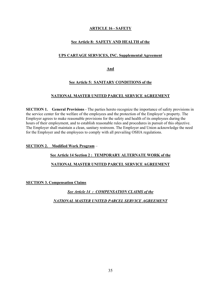# **ARTICLE 16 - SAFETY**

# **See Article 8: SAFETY AND HEALTH of the**

# **UPS CARTAGE SERVICES, INC. Supplemental Agreement**

**And**

# **See Article 5: SANITARY CONDITIONS of the**

## **NATIONAL MASTER UNITED PARCEL SERVICE AGREEMENT**

**SECTION 1. General Provisions** - The parties hereto recognize the importance of safety provisions in the service center for the welfare of the employees and the protection of the Employer's property. The Employer agrees to make reasonable provisions for the safety and health of its employees during the hours of their employment, and to establish reasonable rules and procedures in pursuit of this objective. The Employer shall maintain a clean, sanitary restroom. The Employer and Union acknowledge the need for the Employer and the employees to comply with all prevailing OSHA regulations.

**SECTION 2. Modified Work Program** –

## **See Article 14 Section 2 : TEMPORARY ALTERNATE WORK of the**

# **NATIONAL MASTER UNITED PARCEL SERVICE AGREEMENT**

**SECTION 3. Compensation Claims**

*See Article 14 : COMPENSATION CLAIMS of the NATIONAL MASTER UNITED PARCEL SERVICE AGREEMENT*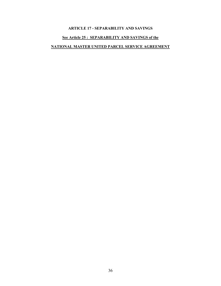# **ARTICLE 17 - SEPARABILITY AND SAVINGS**

# **See Article 25 : SEPARABILITY AND SAVINGS of the**

# **NATIONAL MASTER UNITED PARCEL SERVICE AGREEMENT**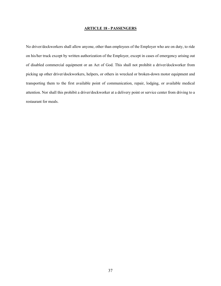#### **ARTICLE 18 - PASSENGERS**

No driver/dockworkers shall allow anyone, other than employees of the Employer who are on duty, to ride on his/her truck except by written authorization of the Employer, except in cases of emergency arising out of disabled commercial equipment or an Act of God. This shall not prohibit a driver/dockworker from picking up other driver/dockworkers, helpers, or others in wrecked or broken-down motor equipment and transporting them to the first available point of communication, repair, lodging, or available medical attention. Nor shall this prohibit a driver/dockworker at a delivery point or service center from driving to a restaurant for meals.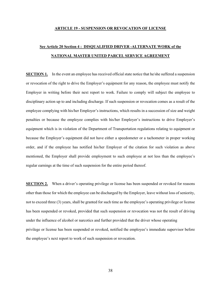#### **ARTICLE 19 - SUSPENSION OR REVOCATION OF LICENSE**

# **See Article 20 Section 4 : DISQUALIFIED DRIVER -ALTERNATE WORK of the NATIONAL MASTER UNITED PARCEL SERVICE AGREEMENT**

**SECTION 1.** In the event an employee has received official state notice that he/she suffered a suspension or revocation of the right to drive the Employer's equipment for any reason, the employee must notify the Employer in writing before their next report to work. Failure to comply will subject the employee to disciplinary action up to and including discharge. If such suspension or revocation comes as a result of the employee complying with his/her Employer's instructions, which results in a succession of size and weight penalties or because the employee complies with his/her Employer's instructions to drive Employer's equipment which is in violation of the Department of Transportation regulations relating to equipment or because the Employer's equipment did not have either a speedometer or a tachometer in proper working order, and if the employee has notified his/her Employer of the citation for such violation as above mentioned, the Employer shall provide employment to such employee at not less than the employee's regular earnings at the time of such suspension for the entire period thereof.

**SECTION 2.** When a driver's operating privilege or license has been suspended or revoked for reasons other than those for which the employee can be discharged by the Employer, leave without loss of seniority, not to exceed three (3) years, shall be granted for such time as the employee's operating privilege or license has been suspended or revoked, provided that such suspension or revocation was not the result of driving under the influence of alcohol or narcotics and further provided that the driver whose operating privilege or license has been suspended or revoked, notified the employee's immediate supervisor before the employee's next report to work of such suspension or revocation.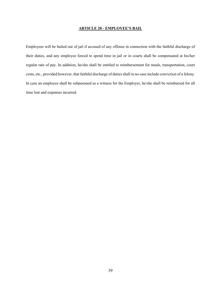#### **ARTICLE 20 - EMPLOYEE'S BAIL**

Employees will be bailed out of jail if accused of any offense in connection with the faithful discharge of their duties, and any employee forced to spend time in jail or in courts shall be compensated at his/her regular rate of pay. In addition, he/she shall be entitled to reimbursement for meals, transportation, court costs, etc., provided however, that faithful discharge of duties shall in no case include conviction of a felony. In case an employee shall be subpoenaed as a witness for the Employer, he/she shall be reimbursed for all time lost and expenses incurred.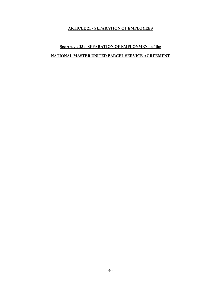# **ARTICLE 21 - SEPARATION OF EMPLOYEES**

# **See Article 23 : SEPARATION OF EMPLOYMENT of the NATIONAL MASTER UNITED PARCEL SERVICE AGREEMENT**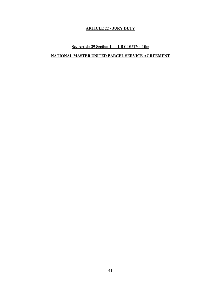# **ARTICLE 22 - JURY DUTY**

# **See Article 29 Section 1 : JURY DUTY of the**

# **NATIONAL MASTER UNITED PARCEL SERVICE AGREEMENT**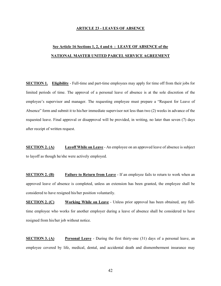#### **ARTICLE 23 - LEAVES OF ABSENCE**

# **See Article 16 Sections 1, 2, 4 and 6 : LEAVE OF ABSENCE of the NATIONAL MASTER UNITED PARCEL SERVICE AGREEMENT**

**SECTION 1. Eligibility** - Full-time and part-time employees may apply for time off from their jobs for limited periods of time. The approval of a personal leave of absence is at the sole discretion of the employee's supervisor and manager. The requesting employee must prepare a "Request for Leave of Absence" form and submit it to his/her immediate supervisor not less than two (2) weeks in advance of the requested leave. Final approval or disapproval will be provided, in writing, no later than seven (7) days after receipt of written request.

**SECTION 2. (A) Layoff While on Leave** - An employee on an approved leave of absence is subject to layoff as though he/she were actively employed.

**SECTION 2. (B) Failure to Return from Leave** - If an employee fails to return to work when an approved leave of absence is completed, unless an extension has been granted, the employee shall be considered to have resigned his/her position voluntarily.

**SECTION 2. (C) Working While on Leave** - Unless prior approval has been obtained, any fulltime employee who works for another employer during a leave of absence shall be considered to have resigned from his/her job without notice.

**SECTION 3. (A) Personal Leave** - During the first thirty-one (31) days of a personal leave, an employee covered by life, medical, dental, and accidental death and dismemberment insurance may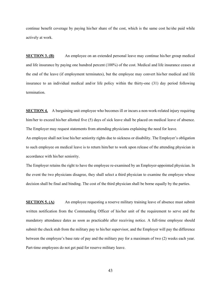continue benefit coverage by paying his/her share of the cost, which is the same cost he/she paid while actively at work.

**SECTION 3. (B)** An employee on an extended personal leave may continue his/her group medical and life insurance by paying one hundred percent (100%) of the cost. Medical and life insurance ceases at the end of the leave (if employment terminates), but the employee may convert his/her medical and life insurance to an individual medical and/or life policy within the thirty-one (31) day period following termination.

**SECTION 4.** A bargaining unit employee who becomes ill or incurs a non-work-related injury requiring him/her to exceed his/her allotted five (5) days of sick leave shall be placed on medical leave of absence. The Employer may request statements from attending physicians explaining the need for leave.

An employee shall not lose his/her seniority rights due to sickness or disability. The Employer's obligation to such employee on medical leave is to return him/her to work upon release of the attending physician in accordance with his/her seniority.

The Employer retains the right to have the employee re-examined by an Employer-appointed physician. In the event the two physicians disagree, they shall select a third physician to examine the employee whose decision shall be final and binding. The cost of the third physician shall be borne equally by the parties.

**SECTION 5. (A)** An employee requesting a reserve military training leave of absence must submit written notification from the Commanding Officer of his/her unit of the requirement to serve and the mandatory attendance dates as soon as practicable after receiving notice. A full-time employee should submit the check stub from the military pay to his/her supervisor, and the Employer will pay the difference between the employee's base rate of pay and the military pay for a maximum of two (2) weeks each year. Part-time employees do not get paid for reserve military leave.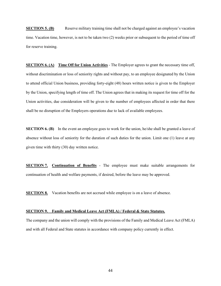**SECTION 5. (B)** Reserve military training time shall not be charged against an employee's vacation time. Vacation time, however, is not to be taken two (2) weeks prior or subsequent to the period of time off for reserve training.

**SECTION 6. (A) Time Off for Union Activities** - The Employer agrees to grant the necessary time off, without discrimination or loss of seniority rights and without pay, to an employee designated by the Union to attend official Union business, providing forty-eight (48) hours written notice is given to the Employer by the Union, specifying length of time off. The Union agrees that in making its request for time off for the Union activities, due consideration will be given to the number of employees affected in order that there shall be no disruption of the Employers operations due to lack of available employees.

**SECTION 6. (B)** In the event an employee goes to work for the union, he/she shall be granted a leave of absence without loss of seniority for the duration of such duties for the union. Limit one (1) leave at any given time with thirty (30) day written notice.

**SECTION 7. Continuation of Benefits** - The employee must make suitable arrangements for continuation of health and welfare payments, if desired, before the leave may be approved.

**SECTION 8.** Vacation benefits are not accrued while employee is on a leave of absence.

#### **SECTION 9. Family and Medical Leave Act (FMLA) / Federal & State Statutes.**

The company and the union will comply with the provisions of the Family and Medical Leave Act (FMLA) and with all Federal and State statutes in accordance with company policy currently in effect.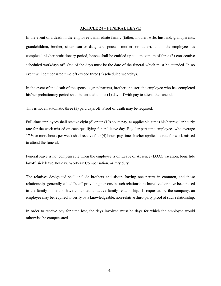#### **ARTICLE 24 – FUNERAL LEAVE**

In the event of a death in the employee's immediate family (father, mother, wife, husband, grandparents, grandchildren, brother, sister, son or daughter, spouse's mother, or father), and if the employee has completed his/her probationary period, he/she shall be entitled up to a maximum of three (3) consecutive scheduled workdays off. One of the days must be the date of the funeral which must be attended. In no event will compensated time off exceed three (3) scheduled workdays.

In the event of the death of the spouse's grandparents, brother or sister, the employee who has completed his/her probationary period shall be entitled to one (1) day off with pay to attend the funeral.

This is not an automatic three (3) paid days off. Proof of death may be required.

Full-time employees shall receive eight (8) or ten (10) hours pay, as applicable, times his/her regular hourly rate for the work missed on each qualifying funeral leave day. Regular part-time employees who average 17 ½ or more hours per week shall receive four (4) hours pay times his/her applicable rate for work missed to attend the funeral.

Funeral leave is not compensable when the employee is on Leave of Absence (LOA), vacation, bona fide layoff, sick leave, holiday, Workers' Compensation, or jury duty.

The relatives designated shall include brothers and sisters having one parent in common, and those relationships generally called "step" providing persons in such relationships have lived or have been raised in the family home and have continued an active family relationship. If requested by the company, an employee may be required to verify by a knowledgeable, non-relative third-party proof of such relationship.

In order to receive pay for time lost, the days involved must be days for which the employee would otherwise be compensated.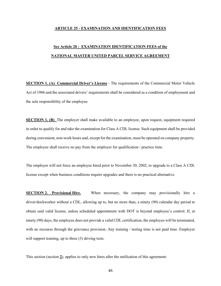#### **ARTICLE 25 - EXAMINATION AND IDENTIFICATION FEES**

# **See Article 20 : EXAMINATION IDENTIFICATION FEES of the NATIONAL MASTER UNITED PARCEL SERVICE AGREEMENT**

**SECTION 1. (A) Commercial Driver's License** - The requirements of the Commercial Motor Vehicle Act of 1986 and the associated drivers' requirements shall be considered as a condition of employment and the sole responsibility of the employee.

**SECTION 1. (B)** The employer shall make available to an employee, upon request, equipment required in order to qualify for and take the examination for Class A CDL license. Such equipment shall be provided during convenient, non-work hours and, except for the examination, must be operated on company property. The employee shall receive no pay from the employer for qualification / practice time.

The employer will not force an employee hired prior to November 30, 2002, to upgrade to a Class A CDL license except when business conditions require upgrades and there is no practical alternative.

**SECTION 2. Provisional Hire.** When necessary, the company may provisionally hire a driver/dockworker without a CDL, allowing up to, but no more than, a ninety (90) calendar day period to obtain said valid license, unless scheduled appointment with DOT is beyond employee's control. If, at ninety (90) days, the employee does not provide a valid CDL certification, the employee will be terminated, with no recourse through the grievance provision. Any training / testing time is not paid time. Employer will support training, up to three (3) driving tests.

This section (section **2**), applies to only new hires after the ratification of this agreement.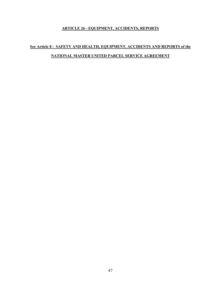# **ARTICLE 26 - EQUIPMENT, ACCIDENTS, REPORTS**

# **See Article 8 : SAFETY AND HEALTH, EQUIPMENT, ACCIDENTS AND REPORTS of the NATIONAL MASTER UNITED PARCEL SERVICE AGREEMENT**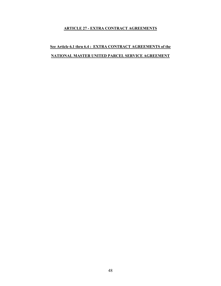## **ARTICLE 27 - EXTRA CONTRACT AGREEMENTS**

# **See Article 6.1 thru 6.4 : EXTRA CONTRACT AGREEMENTS of the NATIONAL MASTER UNITED PARCEL SERVICE AGREEMENT**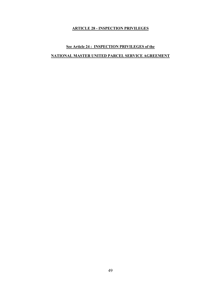# **ARTICLE 28 - INSPECTION PRIVILEGES**

# **See Article 24 : INSPECTION PRIVILEGES of the NATIONAL MASTER UNITED PARCEL SERVICE AGREEMENT**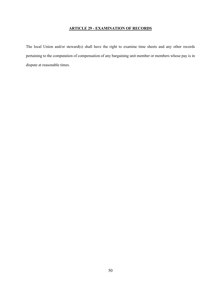# **ARTICLE 29 - EXAMINATION OF RECORDS**

The local Union and/or steward(s) shall have the right to examine time sheets and any other records pertaining to the computation of compensation of any bargaining unit member or members whose pay is in dispute at reasonable times.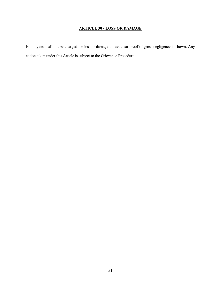# **ARTICLE 30 - LOSS OR DAMAGE**

Employees shall not be charged for loss or damage unless clear proof of gross negligence is shown. Any action taken under this Article is subject to the Grievance Procedure.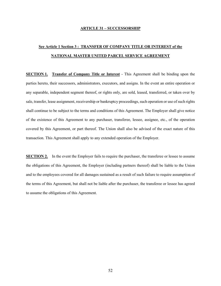#### **ARTICLE 31 – SUCCESSORSHIP**

# **See Article 1 Section 3 : TRANSFER OF COMPANY TITLE OR INTEREST of the NATIONAL MASTER UNITED PARCEL SERVICE AGREEMENT**

**SECTION 1. Transfer of Company Title or Interest** - This Agreement shall be binding upon the parties hereto, their successors, administrators, executors, and assigns. In the event an entire operation or any separable, independent segment thereof, or rights only, are sold, leased, transferred, or taken over by sale, transfer, lease assignment, receivership or bankruptcy proceedings, such operation or use of such rights shall continue to be subject to the terms and conditions of this Agreement. The Employer shall give notice of the existence of this Agreement to any purchaser, transferee, lessee, assignee, etc., of the operation covered by this Agreement, or part thereof. The Union shall also be advised of the exact nature of this transaction. This Agreement shall apply to any extended operation of the Employer.

**SECTION 2.** In the event the Employer fails to require the purchaser, the transferee or lessee to assume the obligations of this Agreement, the Employer (including partners thereof) shall be liable to the Union and to the employees covered for all damages sustained as a result of such failure to require assumption of the terms of this Agreement, but shall not be liable after the purchaser, the transferee or lessee has agreed to assume the obligations of this Agreement.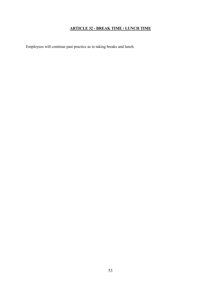# **ARTICLE 32 - BREAK TIME / LUNCH TIME**

Employees will continue past practice as to taking breaks and lunch.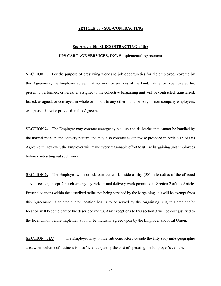#### **ARTICLE 33 - SUB-CONTRACTING**

# **See Article 10: SUBCONTRACTING of the UPS CARTAGE SERVICES, INC. Supplemental Agreement**

**SECTION 1.** For the purpose of preserving work and job opportunities for the employees covered by this Agreement, the Employer agrees that no work or services of the kind, nature, or type covered by, presently performed, or hereafter assigned to the collective bargaining unit will be contracted, transferred, leased, assigned, or conveyed in whole or in part to any other plant, person, or non-company employees, except as otherwise provided in this Agreement.

**SECTION 2.** The Employer may contract emergency pick-up and deliveries that cannot be handled by the normal pick-up and delivery pattern and may also contract as otherwise provided in Article 15 of this Agreement. However, the Employer will make every reasonable effort to utilize bargaining unit employees before contracting out such work.

**SECTION 3.** The Employer will not sub-contract work inside a fifty (50) mile radius of the affected service center, except for such emergency pick-up and delivery work permitted in Section 2 of this Article. Present locations within the described radius not being serviced by the bargaining unit will be exempt from this Agreement. If an area and/or location begins to be served by the bargaining unit, this area and/or location will become part of the described radius. Any exceptions to this section 3 will be cost justified to the local Union before implementation or be mutually agreed upon by the Employer and local Union.

**SECTION 4. (A)** The Employer may utilize sub-contractors outside the fifty (50) mile geographic area when volume of business is insufficient to justify the cost of operating the Employer's vehicle.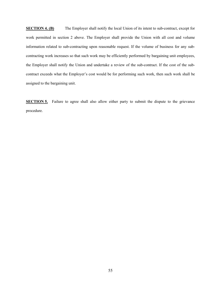**SECTION 4. (B)** The Employer shall notify the local Union of its intent to sub-contract, except for work permitted in section 2 above. The Employer shall provide the Union with all cost and volume information related to sub-contracting upon reasonable request. If the volume of business for any subcontracting work increases so that such work may be efficiently performed by bargaining unit employees, the Employer shall notify the Union and undertake a review of the sub-contract. If the cost of the subcontract exceeds what the Employer's cost would be for performing such work, then such work shall be assigned to the bargaining unit.

**SECTION 5.** Failure to agree shall also allow either party to submit the dispute to the grievance procedure.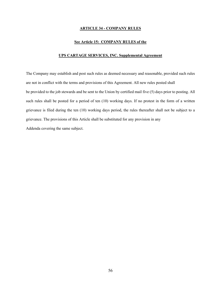#### **ARTICLE 34 - COMPANY RULES**

#### **See Article 15: COMPANY RULES of the**

#### **UPS CARTAGE SERVICES, INC. Supplemental Agreement**

The Company may establish and post such rules as deemed necessary and reasonable, provided such rules are not in conflict with the terms and provisions of this Agreement. All new rules posted shall be provided to the job stewards and be sent to the Union by certified mail five (5) days prior to posting. All such rules shall be posted for a period of ten (10) working days. If no protest in the form of a written grievance is filed during the ten (10) working days period, the rules thereafter shall not be subject to a grievance. The provisions of this Article shall be substituted for any provision in any Addenda covering the same subject.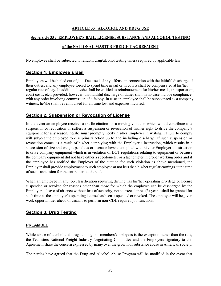## **ARTICLE 35 ALCOHOL AND DRUG USE**

### **See Article 35 : EMPLOYEE'S BAIL, LICENSE, SUBSTANCE AND ALCOHOL TESTING**

## **of the NATIONAL MASTER FREIGHT AGREEMENT**

No employee shall be subjected to random drug/alcohol testing unless required by applicable law.

# **Section 1. Employee's Bail**

Employees will be bailed out of jail if accused of any offense in connection with the faithful discharge of their duties, and any employee forced to spend time in jail or in courts shall be compensated at his/her regular rate of pay. In addition, he/she shall be entitled to reimbursement for his/her meals, transportation, court costs, etc.; provided, however, that faithful discharge of duties shall in no case include compliance with any order involving commission of a felony. In case an employee shall be subpoenaed as a company witness, he/she shall be reimbursed for all time lost and expenses incurred.

# **Section 2. Suspension or Revocation of License**

In the event an employee receives a traffic citation for a moving violation which would contribute to a suspension or revocation or suffers a suspension or revocation of his/her right to drive the company's equipment for any reason, he/she must promptly notify his/her Employer in writing. Failure to comply will subject the employee to disciplinary action up to and including discharge. If such suspension or revocation comes as a result of his/her complying with the Employer's instruction, which results in a succession of size and weight penalties or because he/she complied with his/her Employer's instruction to drive company equipment which is in violation of DOT regulations relating to equipment or because the company equipment did not have either a speedometer or a tachometer in proper working order and if the employee has notified the Employer of the citation for such violation as above mentioned, the Employer shall provide employment to such employee at not less than his/her regular earnings at the time of such suspension for the entire period thereof.

When an employee in any job classification requiring driving has his/her operating privilege or license suspended or revoked for reasons other than those for which the employee can be discharged by the Employer, a leave of absence without loss of seniority, not to exceed three (3) years, shall be granted for such time as the employee's operating license has been suspended or revoked. The employee will be given work opportunities ahead of casuals to perform non-CDL required job functions.

# **Section 3. Drug Testing**

## **PREAMBLE**

While abuse of alcohol and drugs among our members/employees is the exception rather than the rule, the Teamsters National Freight Industry Negotiating Committee and the Employers signatory to this Agreement share the concern expressed by many over the growth of substance abuse in American society.

The parties have agreed that the Drug and Alcohol Abuse Program will be modified in the event that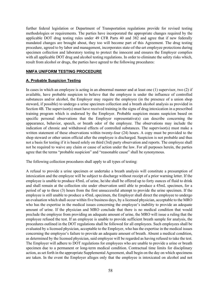further federal legislation or Department of Transportation regulations provide for revised testing methodologies or requirements. The parties have incorporated the appropriate changes required by the applicable DOT drug testing rules under 49 CFR Parts 40 and 382 and agree that if new federally mandated changes are brought about, they too will become part of this Agreement. The drug testing procedure, agreed to by labor and management, incorporates state-of-the-art employee protections during specimen collection and laboratory testing to protect the innocent and ensures the Employer complies with all applicable DOT drug and alcohol testing regulations. In order to eliminate the safety risks which, result from alcohol or drugs, the parties have agreed to the following procedures:

### **NMFA UNIFORM TESTING PROCEDURE**

### **A. Probable Suspicion Testing**

In cases in which an employee is acting in an abnormal manner and at least one (1) supervisor, two (2) if available, have probable suspicion to believe that the employee is under the influence of controlled substances and/or alcohol, the Employer may require the employee (in the presence of a union shop steward, if possible) to undergo a urine specimen collection and a breath alcohol analysis as provided in Section 4B. The supervisor(s) must have received training in the signs of drug intoxication in a prescribed training program which is endorsed by the Employer. Probable suspicion means suspicion based on specific personal observations that the Employer representative(s) can describe concerning the appearance, behavior, speech, or breath odor of the employee. The observations may include the indication of chronic and withdrawal effects of controlled substances. The supervisor(s) must make a written statement of these observations within twenty-four (24) hours. A copy must be provided to the shop steward or other union official after the employee is discharged. Suspicion is not probable and thus not a basis for testing if it is based solely on third (3rd) party observation and reports. The employee shall not be required to waive any claim or cause of action under the law. For all purposes herein, the parties agree that the terms "probable suspicion" and "reasonable cause" shall be synonymous.

The following collection procedures shall apply to all types of testing:

A refusal to provide a urine specimen or undertake a breath analysis will constitute a presumption of intoxication and the employee will be subject to discharge without receipt of a prior warning letter. If the employee is unable to produce 45mL of urine, he/she shall be offered up to forty ounces of fluid to drink and shall remain at the collection site under observation until able to produce a 45mL specimen, for a period of up to three (3) hours from the first unsuccessful attempt to provide the urine specimen. If the employee is still unable to produce a 45mL specimen, the Employer shall direct the employee to undergo an evaluation which shall occur within five business days, by a licensed physician, acceptable to the MRO who has the expertise in the medical issues concerning the employee's inability to provide an adequate amount of urine. If the physician and MRO conclude that there is no medical condition that would preclude the employee from providing an adequate amount of urine, the MRO will issue a ruling that the employee refused the test. If an employee is unable to provide sufficient breath sample for analysis, the procedures outlined in the DOT regulations shall be followed for all employees. Such employees shall be evaluated by a licensed physician, acceptable to the Employer, who has the expertise in the medical issues concerning the employee's failure to provide an adequate amount of breath. Absent a medical condition, as determined by the licensed physician, said employee will be regarded as having refused to take the test. The Employer will adhere to DOT regulations for employees who are unable to provide a urine or breath specimen due to a permanent or long-term medical condition. Contractual time limits for disciplinary action, as set forth in the appropriate Supplemental Agreement, shall begin on the day on which specimens are taken. In the event the Employer alleges only that the employee is intoxicated on alcohol and not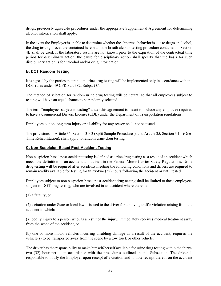drugs, previously agreed-to procedures under the appropriate Supplemental Agreement for determining alcohol intoxication shall apply.

In the event the Employer is unable to determine whether the abnormal behavior is due to drugs or alcohol, the drug testing procedure contained herein and the breath alcohol testing procedure contained in Section 4B shall be used. If the laboratory results are not known prior to the expiration of the contractual time period for disciplinary action, the cause for disciplinary action shall specify that the basis for such disciplinary action is for "alcohol and/or drug intoxication."

## **B. DOT Random Testing**

It is agreed by the parties that random urine drug testing will be implemented only in accordance with the DOT rules under 49 CFR Part 382, Subpart C.

The method of selection for random urine drug testing will be neutral so that all employees subject to testing will have an equal chance to be randomly selected.

The term "employees subject to testing" under this agreement is meant to include any employee required to have a Commercial Drivers License (CDL) under the Department of Transportation regulations.

Employees out on long term injury or disability for any reason shall not be tested.

The provisions of Article 35, Section 3 F 3 (Split Sample Procedures), and Article 35, Section 3 J 1 (One-Time Rehabilitation), shall apply to random urine drug testing.

## **C. Non-Suspicion-Based Post-Accident Testing**

Non-suspicion-based post-accident testing is defined as urine drug testing as a result of an accident which meets the definition of an accident as outlined in the Federal Motor Carrier Safety Regulations. Urine drug testing will be required after accidents meeting the following conditions and drivers are required to remain readily available for testing for thirty-two (32) hours following the accident or until tested.

Employees subject to non-suspicion-based post-accident drug testing shall be limited to those employees subject to DOT drug testing, who are involved in an accident where there is:

(1) a fatality, or

(2) a citation under State or local law is issued to the driver for a moving traffic violation arising from the accident in which:

(a) bodily injury to a person who, as a result of the injury, immediately receives medical treatment away from the scene of the accident, or

(b) one or more motor vehicles incurring disabling damage as a result of the accident, requires the vehicle(s) to be transported away from the scene by a tow truck or other vehicle.

The driver has the responsibility to make himself/herself available for urine drug testing within the thirtytwo (32) hour period in accordance with the procedures outlined in this Subsection. The driver is responsible to notify the Employer upon receipt of a citation and to note receipt thereof on the accident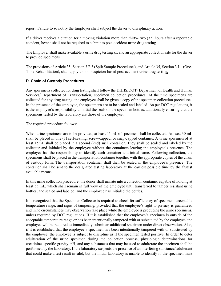report. Failure to so notify the Employer shall subject the driver to disciplinary action.

If a driver receives a citation for a moving violation more than thirty- two (32) hours after a reportable accident, he/she shall not be required to submit to post-accident urine drug testing.

The Employer shall make available a urine drug testing kit and an appropriate collection site for the driver to provide specimens.

The provisions of Article 35, Section 3 F 3 (Split Sample Procedures), and Article 35, Section 3 J 1 (One-Time Rehabilitation), shall apply to non-suspicion-based post-accident urine drug testing**.**

## **D. Chain of Custody Procedures**

Any specimens collected for drug testing shall follow the DHHS/DOT (Department of Health and Human Services/ Department of Transportation) specimen collection procedures. At the time specimens are collected for any drug testing, the employee shall be given a copy of the specimen collection procedures. In the presence of the employee, the specimens are to be sealed and labeled. As per DOT regulations, it is the employee's responsibility to initial the seals on the specimen bottles, additionally ensuring that the specimens tested by the laboratory are those of the employee.

The required procedure follows:

When urine specimens are to be provided, at least 45 mL of specimen shall be collected. At least 30 mL shall be placed in one (1) self-sealing, screw-capped, or snap-capped container. A urine specimen of at least 15mL shall be placed in a second (2nd) such container. They shall be sealed and labeled by the collector and initialed by the employee without the containers leaving the employee's presence. The employee has the responsibility to identify each container and initial same. Following collection, the specimens shall be placed in the transportation container together with the appropriate copies of the chain of custody form. The transportation container shall then be sealed in the employee's presence. The container shall be sent to the designated testing laboratory at the earliest possible time by the fastest available means.

In this urine collection procedure, the donor shall urinate into a collection container capable of holding at least 55 mL, which shall remain in full view of the employee until transferred to tamper resistant urine bottles, and sealed and labeled, and the employee has initialed the bottles.

It is recognized that the Specimen Collector is required to check for sufficiency of specimen, acceptable temperature range, and signs of tampering, provided that the employee's right to privacy is guaranteed and in no circumstances may observation take place while the employee is producing the urine specimens, unless required by DOT regulations. If it is established that the employee's specimen is outside of the acceptable temperature range or has been intentionally tampered with or substituted by the employee, the employee will be required to immediately submit an additional specimen under direct observation. Also, if it is established that the employee's specimen has been intentionally tampered with or substituted by the employee, the employee is subject to discipline as if the specimen tested positive. In order to deter adulteration of the urine specimen during the collection process, physiologic determinations for creatinine, specific gravity, pH, and any substances that may be used to adulterate the specimen shall be performed by the laboratory. If the laboratory suspects the presence of an interfering substance/ adulterant that could make a test result invalid, but the initial laboratory is unable to identify it, the specimen must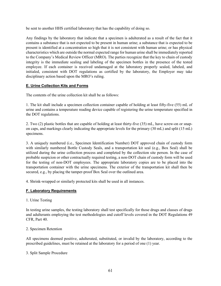be sent to another HHS certified laboratory that has the capability of doing so.

Any findings by the laboratory that indicate that a specimen is adulterated as a result of the fact that it contains a substance that is not expected to be present in human urine; a substance that is expected to be present is identified at a concentration so high that it is not consistent with human urine; or has physical characteristics which are outside the normal expected range for human urine shall be immediately reported to the Company's Medical Review Officer (MRO). The parties recognize that the key to chain of custody integrity is the immediate sealing and labeling of the specimen bottles in the presence of the tested employee. If each container is received undamaged at the laboratory properly sealed, labeled, and initialed, consistent with DOT regulations as certified by the laboratory, the Employer may take disciplinary action based upon the MRO's ruling.

## **E. Urine Collection Kits and Forms**

The contents of the urine collection kit shall be as follows:

1. The kit shall include a specimen collection container capable of holding at least fifty-five (55) mL of urine and contains a temperature reading device capable of registering the urine temperature specified in the DOT regulations.

2. Two (2) plastic bottles that are capable of holding at least thirty-five (35) mL, have screw-on or snapon caps, and markings clearly indicating the appropriate levels for the primary (30 mL) and split (15 mL) specimens.

3. A uniquely numbered (i.e., Specimen Identification Number) DOT approved chain of custody form with similarly numbered Bottle Custody Seals, and a transportation kit seal (e.g., Box Seal) shall be utilized during the urine collection process and completed by the collection site person. In the case of probable suspicion or other contractually required testing, a non-DOT chain of custody form will be used for the testing of non-DOT employees. The appropriate laboratory copies are to be placed into the transportation container with the urine specimens. The exterior of the transportation kit shall then be secured, e.g., by placing the tamper-proof Box Seal over the outlined area.

4. Shrink-wrapped or similarly protected kits shall be used in all instances.

## **F. Laboratory Requirements**

1. Urine Testing

In testing urine samples, the testing laboratory shall test specifically for those drugs and classes of drugs and adulterants employing the test methodologies and cutoff levels covered in the DOT Regulations 49 CFR, Part 40.

#### 2. Specimen Retention

All specimens deemed positive, adulterated, substituted, or invalid by the laboratory, according to the prescribed guidelines, must be retained at the laboratory for a period of one (1) year.

#### 3. Split Sample Procedure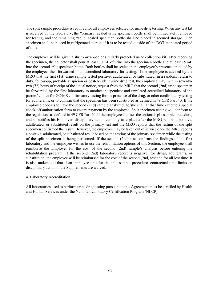The split sample procedure is required for all employees selected for urine drug testing. When any test kit is received by the laboratory, the "primary" sealed urine specimen bottle shall be immediately removed for testing, and the remaining "split" sealed specimen bottle shall be placed in secured storage. Such specimen shall be placed in refrigerated storage if it is to be tested outside of the DOT mandated period of time.

The employee will be given a shrink-wrapped or similarly protected urine collection kit. After receiving the specimen, the collector shall pour at least 30 mL of urine into the specimen bottle and at least 15 mL into the second split specimen bottle. Both bottles shall be sealed in the employee's presence, initialed by the employee, then forwarded to an accredited laboratory for testing. If the employee is advised by the MRO that the first (1st) urine sample tested positive, adulterated, or substituted, in a random, return to duty, follow-up, probable suspicion or post-accident urine drug test, the employee may, within seventytwo (72) hours of receipt of the actual notice, request from the MRO that the second (2nd) urine specimen be forwarded by the first laboratory to another independent and unrelated accredited laboratory of the parties' choice for GC/MS confirmatory testing for the presence of the drug, or other confirmatory testing for adulterants, or to confirm that the specimen has been substituted as defined in 49 CFR Part 40. If the employee chooses to have the second (2nd) sample analyzed, he/she shall at that time execute a special check-off authorization form to ensure payment by the employee. Split specimen testing will conform to the regulations as defined in 49 CFR Part 40. If the employee chooses the optional split sample procedure, and so notifies his Employer, disciplinary action can only take place after the MRO reports a positive, adulterated, or substituted result on the primary test and the MRO reports that the testing of the split specimen confirmed the result. However, the employee may be taken out of service once the MRO reports a positive, adulterated, or substituted result based on the testing of the primary specimen while the testing of the split specimen is being performed. If the second (2nd) test confirms the findings of the first laboratory and the employee wishes to use the rehabilitation options of this Section, the employee shall reimburse the Employer for the cost of the second (2nd) sample's analysis before entering the rehabilitation program. If the second (2nd) laboratory report is negative, for drugs, adulterants, or substitution, the employee will be reimbursed for the cost of the second (2nd) test and for all lost time. It is also understood that if an employee opts for the split sample procedure, contractual time limits on disciplinary action in the Supplements are waived.

#### 4. Laboratory Accreditation

All laboratories used to perform urine drug testing pursuant to this Agreement must be certified by Health and Human Services under the National Laboratory Certification Program (NLCP).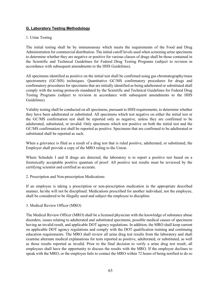## **G. Laboratory Testing Methodology**

### 1. Urine Testing

The initial testing shall be by immunoassay which meets the requirements of the Food and Drug Administration for commercial distribution. The initial cutoff levels used when screening urine specimens to determine whether they are negative or positive for various classes of drugs shall be those contained in the Scientific and Technical Guidelines for Federal Drug Testing Programs (subject to revision in accordance with subsequent amendments to the HHS Guidelines).

All specimens identified as positive on the initial test shall be confirmed using gas chromatography/mass spectrometry (GC/MS) techniques. Quantitative GC/MS confirmatory procedures for drugs and confirmatory procedures for specimens that are initially identified as being adulterated or substituted shall comply with the testing protocols mandated by the Scientific and Technical Guidelines for Federal Drug Testing Programs (subject to revision in accordance with subsequent amendments to the HHS Guidelines).

Validity testing shall be conducted on all specimens, pursuant to HHS requirements, to determine whether they have been adulterated or substituted. All specimens which test negative on either the initial test or the GC/MS confirmation test shall be reported only as negative, unless they are confirmed to be adulterated, substituted, or invalid. Only specimens which test positive on both the initial test and the GC/MS confirmation test shall be reported as positive. Specimens that are confirmed to be adulterated or substituted shall be reported as such.

When a grievance is filed as a result of a drug test that is ruled positive, adulterated, or substituted, the Employer shall provide a copy of the MRO ruling to the Union.

Where Schedule I and II drugs are detected, the laboratory is to report a positive test based on a forensically acceptable positive quantum of proof. All positive test results must be reviewed by the certifying scientist and certified as accurate.

2. Prescription and Non-prescription Medications

If an employee is taking a prescription or non-prescription medication in the appropriate described manner, he/she will not be disciplined. Medications prescribed for another individual, not the employee, shall be considered to be illegally used and subject the employee to discipline.

3. Medical Review Officer (MRO)

The Medical Review Officer (MRO) shall be a licensed physician with the knowledge of substance abuse disorders, issues relating to adulterated and substituted specimens, possible medical causes of specimens having an invalid result, and applicable DOT agency regulations. In addition, the MRO shall keep current on applicable DOT agency regulations and comply with the DOT qualification training and continuing education requirements. The MRO shall review all urine drug test results from the laboratory and shall examine alternate medical explanations for tests reported as positive, adulterated, or substituted, as well as those results reported as invalid. Prior to the final decision to verify a urine drug test result, all employees shall have the opportunity to discuss the results with the MRO. If the employee declines to speak with the MRO, or the employee fails to contact the MRO within 72 hours of being notified to do so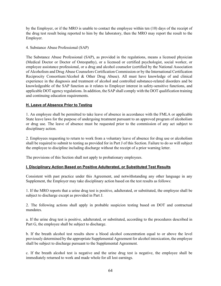by the Employer, or if the MRO is unable to contact the employee within ten (10) days of the receipt of the drug test result being reported to him by the laboratory, then the MRO may report the result to the Employer.

4. Substance Abuse Professional (SAP)

The Substance Abuse Professional (SAP), as provided in the regulations, means a licensed physician (Medical Doctor or Doctor of Osteopathy), or a licensed or certified psychologist, social worker, or employee assistance professional, or a drug and alcohol counselor (certified by the National Association of Alcoholism and Drug Abuse Counselors Certification Commission or by the International Certification Reciprocity Consortium/Alcohol & Other Drug Abuse). All must have knowledge of and clinical experience in the diagnosis and treatment of alcohol and controlled substance-related disorders and be knowledgeable of the SAP function as it relates to Employer interest in safety-sensitive functions, and applicable DOT agency regulations. In addition, the SAP shall comply with the DOT qualification training and continuing education requirements.

#### **H. Leave of Absence Prior to Testing**

1. An employee shall be permitted to take leave of absence in accordance with the FMLA or applicable State leave laws for the purpose of undergoing treatment pursuant to an approved program of alcoholism or drug use. The leave of absence must be requested prior to the commission of any act subject to disciplinary action.

2. Employees requesting to return to work from a voluntary leave of absence for drug use or alcoholism shall be required to submit to testing as provided for in Part J of this Section. Failure to do so will subject the employee to discipline including discharge without the receipt of a prior warning letter.

The provisions of this Section shall not apply to probationary employees.

#### **I. Disciplinary Action Based on Positive Adulterated, or Substituted Test Results**

Consistent with past practice under this Agreement, and notwithstanding any other language in any Supplement, the Employer may take disciplinary action based on the test results as follows:

1. If the MRO reports that a urine drug test is positive, adulterated, or substituted, the employee shall be subject to discharge except as provided in Part J.

2. The following actions shall apply in probable suspicion testing based on DOT and contractual mandates.

a. If the urine drug test is positive, adulterated, or substituted, according to the procedures described in Part G, the employee shall be subject to discharge.

b. If the breath alcohol test results show a blood alcohol concentration equal to or above the level previously determined by the appropriate Supplemental Agreement for alcohol intoxication, the employee shall be subject to discharge pursuant to the Supplemental Agreement.

c. If the breath alcohol test is negative and the urine drug test is negative, the employee shall be immediately returned to work and made whole for all lost earnings.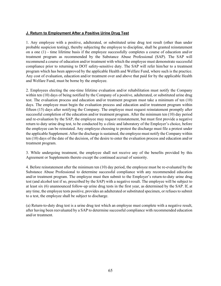### **J. Return to Employment After a Positive Urine Drug Test**

1. Any employee with a positive, adulterated, or substituted urine drug test result (other than under probable suspicion testing), thereby subjecting the employee to discipline, shall be granted reinstatement on a one (1) - time lifetime basis if the employee successfully completes a course of education and/or treatment program as recommended by the Substance Abuse Professional (SAP). The SAP will recommend a course of education and/or treatment with which the employee must demonstrate successful compliance prior to returning to DOT safety-sensitive duty. The SAP will refer him/her to a treatment program which has been approved by the applicable Health and Welfare Fund, where such is the practice. Any cost of evaluation, education and/or treatment over and above that paid for by the applicable Health and Welfare Fund, must be borne by the employee.

2. Employees electing the one-time lifetime evaluation and/or rehabilitation must notify the Company within ten (10) days of being notified by the Company of a positive, adulterated, or substituted urine drug test. The evaluation process and education and/or treatment program must take a minimum of ten (10) days. The employee must begin the evaluation process and education and/or treatment program within fifteen (15) days after notifying the Company. The employee must request reinstatement promptly after successful completion of the education and/or treatment program. After the minimum ten (10) day period and re-evaluation by the SAP, the employee may request reinstatement, but must first provide a negative return to duty urine drug test, to be conducted by a clinic and laboratory of the Employer's choice, before the employee can be reinstated. Any employee choosing to protest the discharge must file a protest under the applicable Supplement. After the discharge is sustained, the employee must notify the Company within ten (10) days of the date of the decision, of the desire to enter the evaluation process and education and/or treatment program.

3. While undergoing treatment, the employee shall not receive any of the benefits provided by this Agreement or Supplements thereto except the continued accrual of seniority.

4. Before reinstatement after the minimum ten (10) day period, the employee must be re-evaluated by the Substance Abuse Professional to determine successful compliance with any recommended education and/or treatment program. The employee must then submit to the Employer's return-to-duty urine drug test (and alcohol test if so, prescribed by the SAP) with a negative result. The employee will be subject to at least six (6) unannounced follow-up urine drug tests in the first year, as determined by the SAP. If, at any time, the employee tests positive, provides an adulterated or substituted specimen, or refuses to submit to a test, the employee shall be subject to discharge.

(a) Return-to-duty drug test is a urine drug test which an employee must complete with a negative result, after having been reevaluated by a SAP to determine successful compliance with recommended education and/or treatment.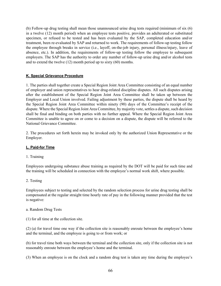(b) Follow-up drug testing shall mean those unannounced urine drug tests required (minimum of six (6) in a twelve (12) month period) when an employee tests positive, provides an adulterated or substituted specimen, or refused to be tested and has been evaluated by the SAP, completed education and/or treatment, been re-evaluated by SAP and returned to work. The requirements of follow-up testing follow the employee through breaks in service (i.e., layoff, on-the-job injury, personal illness/injury, leave of absence, etc.). In addition, the requirements of follow-up testing follow the employee to subsequent employers. The SAP has the authority to order any number of follow-up urine drug and/or alcohol tests and to extend the twelve (12) month period up to sixty (60) months.

## **K. Special Grievance Procedure**

1. The parties shall together create a Special Region Joint Area Committee consisting of an equal number of employer and union representatives to hear drug-related discipline disputes. All such disputes arising after the establishment of the Special Region Joint Area Committee shall be taken up between the Employer and Local Union involved. Failing adjustment by these parties, the dispute shall be heard by the Special Region Joint Area Committee within ninety (90) days of the Committee's receipt of the dispute. Where the Special Region Joint Area Committee, by majority vote, settles a dispute, such decision shall be final and binding on both parties with no further appeal. Where the Special Region Joint Area Committee is unable to agree on or come to a decision on a dispute, the dispute will be referred to the National Grievance Committee.

2. The procedures set forth herein may be invoked only by the authorized Union Representative or the Employer.

## **L. Paid-for Time**

#### 1. Training

Employees undergoing substance abuse training as required by the DOT will be paid for such time and the training will be scheduled in connection with the employee's normal work shift, where possible.

2. Testing

Employees subject to testing and selected by the random selection process for urine drug testing shall be compensated at the regular straight time hourly rate of pay in the following manner provided that the test is negative:

#### a. Random Drug Tests

(1) for all time at the collection site.

(2) (a) for travel time one way if the collection site is reasonably enroute between the employee's home and the terminal, and the employee is going to or from work; or

(b) for travel time both ways between the terminal and the collection site, only if the collection site is not reasonably enroute between the employee's home and the terminal.

(3) When an employee is on the clock and a random drug test is taken any time during the employee's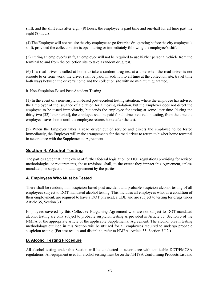shift, and the shift ends after eight (8) hours, the employee is paid time and one-half for all time past the eight (8) hours.

(4) The Employer will not require the city employee to go for urine drug testing before the city employee's shift, provided the collection site is open during or immediately following the employee's shift.

(5) During an employee's shift, an employee will not be required to use his/her personal vehicle from the terminal to and from the collection site to take a random drug test.

(6) If a road driver is called at home to take a random drug test at a time when the road driver is not enroute to or from work, the driver shall be paid, in addition to all time at the collection site, travel time both ways between the driver's home and the collection site with no minimum guarantee.

b. Non-Suspicion-Based Post-Accident Testing

(1) In the event of a non-suspicion-based post-accident testing situation, where the employee has advised the Employer of the issuance of a citation for a moving violation, but the Employer does not direct the employee to be tested immediately, but sends the employee for testing at some later time [during the thirty-two (32) hour period], the employee shall be paid for all time involved in testing, from the time the employee leaves home until the employee returns home after the test.

(2) When the Employer takes a road driver out of service and directs the employee to be tested immediately, the Employer will make arrangements for the road driver to return to his/her home terminal in accordance with the Supplemental Agreement.

# **Section 4. Alcohol Testing**

The parties agree that in the event of further federal legislation or DOT regulations providing for revised methodologies or requirements, those revisions shall, to the extent they impact this Agreement, unless mandated, be subject to mutual agreement by the parties.

# **A. Employees Who Must be Tested**

There shall be random, non-suspicion-based post-accident and probable suspicion alcohol testing of all employees subject to DOT mandated alcohol testing. This includes all employees who, as a condition of their employment, are required to have a DOT physical, a CDL and are subject to testing for drugs under Article 35, Section 3 B.

Employees covered by this Collective Bargaining Agreement who are not subject to DOT-mandated alcohol testing are only subject to probable suspicion testing as provided in Article 35, Section 3 of the NMFA or the appropriate article of the applicable Supplemental Agreement. The alcohol breath testing methodology outlined in this Section will be utilized for all employees required to undergo probable suspicion testing. (For test results and discipline, refer to NMFA, Article 35, Section 3 I 2.)

## **B. Alcohol Testing Procedure**

All alcohol testing under this Section will be conducted in accordance with applicable DOT/FMCSA regulations. All equipment used for alcohol testing must be on the NHTSA Conforming Products List and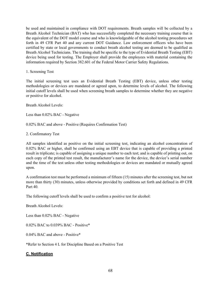be used and maintained in compliance with DOT requirements. Breath samples will be collected by a Breath Alcohol Technician (BAT) who has successfully completed the necessary training course that is the equivalent of the DOT model course and who is knowledgeable of the alcohol testing procedures set forth in 49 CFR Part 40 and any current DOT Guidance. Law enforcement officers who have been certified by state or local governments to conduct breath alcohol testing are deemed to be qualified as Breath Alcohol Technicians. The training shall be specific to the type of Evidential Breath Testing (EBT) device being used for testing. The Employer shall provide the employees with material containing the information required by Section 382.601 of the Federal Motor Carrier Safety Regulations.

1. Screening Test

The initial screening test uses an Evidential Breath Testing (EBT) device, unless other testing methodologies or devices are mandated or agreed upon, to determine levels of alcohol. The following initial cutoff levels shall be used when screening breath samples to determine whether they are negative or positive for alcohol.

Breath Alcohol Levels:

Less than 0.02% BAC - Negative

0.02% BAC and above - Positive (Requires Confirmation Test)

2. Confirmatory Test

All samples identified as positive on the initial screening test, indicating an alcohol concentration of 0.02% BAC or higher, shall be confirmed using an EBT device that is capable of providing a printed result in triplicate; is capable of assigning a unique number to each test; and is capable of printing out, on each copy of the printed test result, the manufacturer's name for the device, the device's serial number and the time of the test unless other testing methodologies or devices are mandated or mutually agreed upon.

A confirmation test must be performed a minimum of fifteen (15) minutes after the screening test, but not more than thirty (30) minutes, unless otherwise provided by conditions set forth and defined in 49 CFR Part 40.

The following cutoff levels shall be used to confirm a positive test for alcohol:

Breath Alcohol Levels:

Less than 0.02% BAC - Negative

0.02% BAC to 0.039% BAC - Positive\*

0.04% BAC and above - Positive\*

\*Refer to Section 4 L for Discipline Based on a Positive Test

#### **C. Notification**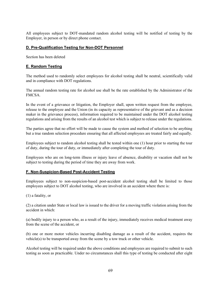All employees subject to DOT-mandated random alcohol testing will be notified of testing by the Employer, in person or by direct phone contact.

### **D. Pre-Qualification Testing for Non-DOT Personnel**

Section has been deleted

### **E. Random Testing**

The method used to randomly select employees for alcohol testing shall be neutral, scientifically valid and in compliance with DOT regulations.

The annual random testing rate for alcohol use shall be the rate established by the Administrator of the FMCSA.

In the event of a grievance or litigation, the Employer shall, upon written request from the employee, release to the employee and the Union (in its capacity as representative of the grievant and as a decision maker in the grievance process), information required to be maintained under the DOT alcohol testing regulations and arising from the results of an alcohol test which is subject to release under the regulations.

The parties agree that no effort will be made to cause the system and method of selection to be anything but a true random selection procedure ensuring that all affected employees are treated fairly and equally.

Employees subject to random alcohol testing shall be tested within one (1) hour prior to starting the tour of duty, during the tour of duty, or immediately after completing the tour of duty.

Employees who are on long-term illness or injury leave of absence, disability or vacation shall not be subject to testing during the period of time they are away from work.

#### **F. Non-Suspicion-Based Post-Accident Testing**

Employees subject to non-suspicion-based post-accident alcohol testing shall be limited to those employees subject to DOT alcohol testing, who are involved in an accident where there is:

(1) a fatality, or

(2) a citation under State or local law is issued to the driver for a moving traffic violation arising from the accident in which:

(a) bodily injury to a person who, as a result of the injury, immediately receives medical treatment away from the scene of the accident, or

(b) one or more motor vehicles incurring disabling damage as a result of the accident, requires the vehicle(s) to be transported away from the scene by a tow truck or other vehicle.

Alcohol testing will be required under the above conditions and employees are required to submit to such testing as soon as practicable. Under no circumstances shall this type of testing be conducted after eight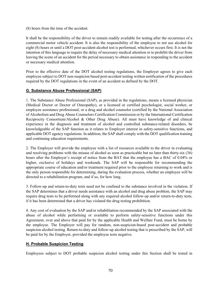(8) hours from the time of the accident.

It shall be the responsibility of the driver to remain readily available for testing after the occurrence of a commercial motor vehicle accident. It is also the responsibility of the employee to not use alcohol for eight (8) hours or until a DOT post-accident alcohol test is performed, whichever occurs first. It is not the intention of this language to require the delay of necessary medical attention or to prohibit the driver from leaving the scene of an accident for the period necessary to obtain assistance in responding to the accident or necessary medical attention.

Prior to the effective date of the DOT alcohol testing regulations, the Employer agrees to give each employee subject to DOT non-suspicion based post-accident testing written notification of the procedures required by the DOT regulations in the event of an accident as defined by the DOT.

# **G. Substance Abuse Professional (SAP)**

1. The Substance Abuse Professional (SAP), as provided in the regulations, means a licensed physician (Medical Doctor or Doctor of Osteopathy), or a licensed or certified psychologist, social worker, or employee assistance professional, or a drug and alcohol counselor (certified by the National Association of Alcoholism and Drug Abuse Counselors Certification Commission or by the International Certification Reciprocity Consortium/Alcohol & Other Drug Abuse). All must have knowledge of and clinical experience in the diagnosis and treatment of alcohol and controlled substance-related disorders, be knowledgeable of the SAP function as it relates to Employer interest in safety-sensitive functions, and applicable DOT agency regulations. In addition, the SAP shall comply with the DOT qualification training and continuing education requirements.

2. The Employer will provide the employee with a list of resources available to the driver in evaluating and resolving problems with the misuse of alcohol as soon as practicable but no later than thirty-six (36) hours after the Employer's receipt of notice from the BAT that the employee has a BAC of 0.04% or higher, exclusive of holidays and weekends. The SAP will be responsible for recommending the appropriate course of education and/or treatment required prior to the employee returning to work and is the only person responsible for determining, during the evaluation process, whether an employee will be directed to a rehabilitation program, and if so, for how long.

3. Follow-up and return-to-duty tests need not be confined to the substance involved in the violation. If the SAP determines that a driver needs assistance with an alcohol and drug abuse problem, the SAP may require drug tests to be performed along with any required alcohol follow-up and/or return-to-duty tests, if it has been determined that a driver has violated the drug testing prohibition.

4. Any cost of evaluation by the SAP and/or rehabilitation recommended by the SAP associated with the abuse of alcohol while performing or available to perform safety-sensitive functions under this Agreement, over and above that paid for by the applicable Health and Welfare Fund, must be borne by the employee. The Employer will pay for random, non-suspicion-based post-accident and probable suspicion alcohol testing. Return-to-duty and follow-up alcohol testing that is prescribed by the SAP, will be paid for by the Employer, provided the employee tests negative.

# **H. Probable Suspicion Testing**

Employees subject to DOT probable suspicion alcohol testing under this Section shall be tested in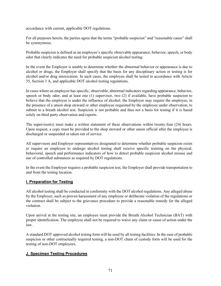accordance with current, applicable DOT regulations.

For all purposes herein, the parties agree that the terms "probable suspicion" and "reasonable cause" shall be synonymous.

Probable suspicion is defined as an employee's specific observable appearance, behavior, speech, or body odor that clearly indicates the need for probable suspicion alcohol testing.

In the event the Employer is unable to determine whether the abnormal behavior or appearance is due to alcohol or drugs, the Employer shall specify that the basis for any disciplinary action or testing is for alcohol and/or drug intoxication. In such cases, the employee shall be tested in accordance with Article 35, Section 3 A, and applicable DOT alcohol testing regulations.

In cases where an employee has specific, observable, abnormal indicators regarding appearance, behavior, speech or body odor, and at least one (1) supervisor, two (2) if available, have probable suspicion to believe that the employee is under the influence of alcohol, the Employer may require the employee, in the presence of a union shop steward or other employee requested by the employee under observation, to submit to a breath alcohol test. Suspicion is not probable and thus not a basis for testing if it is based solely on third party observation and reports.

The supervisor(s) must make a written statement of these observations within twenty-four (24) hours. Upon request, a copy must be provided to the shop steward or other union official after the employee is discharged or suspended or taken out of service.

All supervisors and Employer representatives designated to determine whether probable suspicion exists to require an employee to undergo alcohol testing shall receive specific training on the physical, behavioral, speech and performance indicators of how to detect probable suspicion alcohol misuse and use of controlled substances as required by DOT regulations.

In the event the Employer requires a probable suspicion test, the Employer shall provide transportation to and from the testing location.

# **I. Preparation for Testing**

All alcohol testing shall be conducted in conformity with the DOT alcohol regulations. Any alleged abuse by the Employer, such as proven harassment of any employee or deliberate violation of the regulations or the contract shall be subject to the grievance procedure to provide a reasonable remedy for the alleged violation.

Upon arrival at the testing site, an employee must provide the Breath Alcohol Technician (BAT) with proper identification. The employee shall not be required to waive any claim or cause of action under the law.

A standard DOT approved alcohol testing form will be used by all testing facilities. In the case of probable suspicion or other contractually required testing, a non-DOT chain of custody form will be used for the testing of non-DOT employees.

## **J. Specimen Testing Procedures**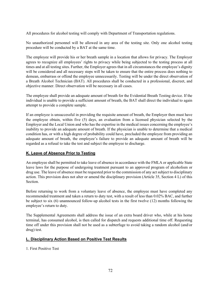All procedures for alcohol testing will comply with Department of Transportation regulations.

No unauthorized personnel will be allowed in any area of the testing site. Only one alcohol testing procedure will be conducted by a BAT at the same time.

The employee will provide his or her breath sample in a location that allows for privacy. The Employer agrees to recognize all employees' rights to privacy while being subjected to the testing process at all times and at all testing sites. Further, the Employer agrees that in all circumstances the employee's dignity will be considered and all necessary steps will be taken to ensure that the entire process does nothing to demean, embarrass or offend the employee unnecessarily. Testing will be under the direct observation of a Breath Alcohol Technician (BAT). All procedures shall be conducted in a professional, discreet, and objective manner. Direct observation will be necessary in all cases.

The employee shall provide an adequate amount of breath for the Evidential Breath Testing device. If the individual is unable to provide a sufficient amount of breath, the BAT shall direct the individual to again attempt to provide a complete sample.

If an employee is unsuccessful in providing the requisite amount of breath, the Employer then must have the employee obtain, within five (5) days, an evaluation from a licensed physician selected by the Employer and the Local Union and who has the expertise in the medical issues concerning the employee's inability to provide an adequate amount of breath. If the physician is unable to determine that a medical condition has, or with a high degree of probability could have, precluded the employee from providing an adequate amount of breath, the employee's failure to provide an adequate amount of breath will be regarded as a refusal to take the test and subject the employee to discharge.

# **K. Leave of Absence Prior to Testing**

An employee shall be permitted to take leave of absence in accordance with the FMLA or applicable State leave laws for the purpose of undergoing treatment pursuant to an approved program of alcoholism or drug use. The leave of absence must be requested prior to the commission of any act subject to disciplinary action. This provision does not alter or amend the disciplinary provision (Article 35, Section 4 L) of this Section.

Before returning to work from a voluntary leave of absence, the employee must have completed any recommended treatment and taken a return to duty test, with a result of less than 0.02% BAC, and further be subject to six (6) unannounced follow-up alcohol tests in the first twelve (12) months following the employee's return to duty.

The Supplemental Agreements shall address the issue of an extra board driver who, while at his home terminal, has consumed alcohol, is then called for dispatch and requests additional time off. Requesting time off under this provision shall not be used as a subterfuge to avoid taking a random alcohol (and/or drug) test.

#### **L. Disciplinary Action Based on Positive Test Results**

1. First Positive Test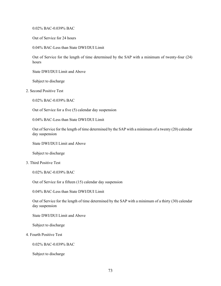0.02% BAC-0.039% BAC

Out of Service for 24 hours

0.04% BAC-Less than State DWI/DUI Limit

Out of Service for the length of time determined by the SAP with a minimum of twenty-four (24) hours

State DWI/DUI Limit and Above

Subject to discharge

2. Second Positive Test

0.02% BAC-0.039% BAC

Out of Service for a five (5) calendar day suspension

0.04% BAC-Less than State DWI/DUI Limit

Out of Service for the length of time determined by the SAP with a minimum of a twenty (20) calendar day suspension

State DWI/DUI Limit and Above

Subject to discharge

3. Third Positive Test

0.02% BAC-0.039% BAC

Out of Service for a fifteen (15) calendar day suspension

0.04% BAC-Less than State DWI/DUI Limit

Out of Service for the length of time determined by the SAP with a minimum of a thirty (30) calendar day suspension

State DWI/DUI Limit and Above

Subject to discharge

4. Fourth Positive Test

0.02% BAC-0.039% BAC

Subject to discharge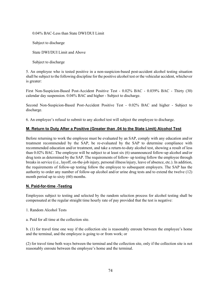0.04% BAC-Less than State DWI/DUI Limit

Subject to discharge

State DWI/DUI Limit and Above

Subject to discharge

5. An employee who is tested positive in a non-suspicion-based post-accident alcohol testing situation shall be subject to the following discipline for the positive alcohol test or the vehicular accident, whichever is greater:

First Non-Suspicion-Based Post-Accident Positive Test - 0.02% BAC - 0.039% BAC - Thirty (30) calendar day suspension. 0.04% BAC and higher - Subject to discharge.

Second Non-Suspicion-Based Post-Accident Positive Test - 0.02% BAC and higher - Subject to discharge.

6. An employee's refusal to submit to any alcohol test will subject the employee to discharge.

# **M. Return to Duty After a Positive (Greater than .04 to the State Limit) Alcohol Test**

Before returning to work the employee must be evaluated by an SAP, comply with any education and/or treatment recommended by the SAP, be re-evaluated by the SAP to determine compliance with recommended education and/or treatment, and take a return-to-duty alcohol test, showing a result of less than 0.02% BAC. The employee will be subject to at least six (6) unannounced follow-up alcohol and/or drug tests as determined by the SAP. The requirements of follow- up testing follow the employee through breaks in service (i.e., layoff, on-the-job injury, personal illness/injury, leave of absence, etc.). In addition, the requirements of follow-up testing follow the employee to subsequent employers. The SAP has the authority to order any number of follow-up alcohol and/or urine drug tests and to extend the twelve (12) month period up to sixty (60) months.

# **N. Paid-for-time -Testing**

Employees subject to testing and selected by the random selection process for alcohol testing shall be compensated at the regular straight time hourly rate of pay provided that the test is negative:

- 1. Random Alcohol Tests
- a. Paid for all time at the collection site.

b. (1) for travel time one way if the collection site is reasonably enroute between the employee's home and the terminal, and the employee is going to or from work; or

(2) for travel time both ways between the terminal and the collection site, only if the collection site is not reasonably enroute between the employee's home and the terminal.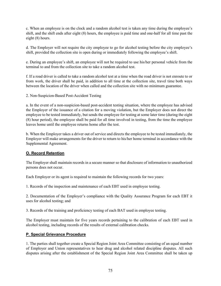c. When an employee is on the clock and a random alcohol test is taken any time during the employee's shift, and the shift ends after eight (8) hours, the employee is paid time and one-half for all time past the eight (8) hours.

d. The Employer will not require the city employee to go for alcohol testing before the city employee's shift, provided the collection site is open during or immediately following the employee's shift.

e. During an employee's shift, an employee will not be required to use his/her personal vehicle from the terminal to and from the collection site to take a random alcohol test.

f. If a road driver is called to take a random alcohol test at a time when the road driver is not enroute to or from work, the driver shall be paid, in addition to all time at the collection site, travel time both ways between the location of the driver when called and the collection site with no minimum guarantee.

2. Non-Suspicion-Based Post-Accident Testing

a. In the event of a non-suspicion-based post-accident testing situation, where the employee has advised the Employer of the issuance of a citation for a moving violation, but the Employer does not direct the employee to be tested immediately, but sends the employee for testing at some later time (during the eight (8) hour period), the employee shall be paid for all time involved in testing, from the time the employee leaves home until the employee returns home after the test.

b. When the Employer takes a driver out of service and directs the employee to be tested immediately, the Employer will make arrangements for the driver to return to his/her home terminal in accordance with the Supplemental Agreement.

# **O. Record Retention**

The Employer shall maintain records in a secure manner so that disclosure of information to unauthorized persons does not occur.

Each Employer or its agent is required to maintain the following records for two years:

1. Records of the inspection and maintenance of each EBT used in employee testing.

2. Documentation of the Employer's compliance with the Quality Assurance Program for each EBT it uses for alcohol testing; and

3. Records of the training and proficiency testing of each BAT used in employee testing.

The Employer must maintain for five years records pertaining to the calibration of each EBT used in alcohol testing, including records of the results of external calibration checks.

# **P. Special Grievance Procedure**

1. The parties shall together create a Special Region Joint Area Committee consisting of an equal number of Employer and Union representatives to hear drug and alcohol related discipline disputes. All such disputes arising after the establishment of the Special Region Joint Area Committee shall be taken up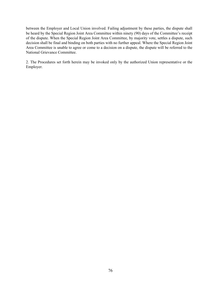between the Employer and Local Union involved. Failing adjustment by these parties, the dispute shall be heard by the Special Region Joint Area Committee within ninety (90) days of the Committee's receipt of the dispute. When the Special Region Joint Area Committee, by majority vote, settles a dispute, such decision shall be final and binding on both parties with no further appeal. Where the Special Region Joint Area Committee is unable to agree or come to a decision on a dispute, the dispute will be referred to the National Grievance Committee.

2. The Procedures set forth herein may be invoked only by the authorized Union representative or the Employer.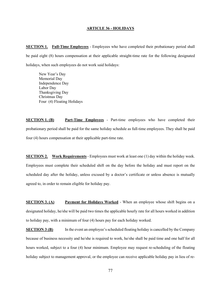#### **ARTICLE 36 - HOLIDAYS**

**SECTION 1.** Full-Time Employees - Employees who have completed their probationary period shall be paid eight (8) hours compensation at their applicable straight-time rate for the following designated holidays, when such employees do not work said holidays:

New Year's Day Memorial Day Independence Day Labor Day Thanksgiving Day Christmas Day Four (4) Floating Holidays

**SECTION 1. (B) Part-Time Employees** - Part-time employees who have completed their probationary period shall be paid for the same holiday schedule as full-time employees. They shall be paid four (4) hours compensation at their applicable part-time rate.

**SECTION 2. Work Requirements** - Employees must work at least one (1) day within the holiday week. Employees must complete their scheduled shift on the day before the holiday and must report on the scheduled day after the holiday, unless excused by a doctor's certificate or unless absence is mutually agreed to, in order to remain eligible for holiday pay.

**SECTION 3. (A) Payment for Holidays Worked** - When an employee whose shift begins on a designated holiday, he/she will be paid two times the applicable hourly rate for all hours worked in addition to holiday pay, with a minimum of four (4) hours pay for each holiday worked.

**SECTION 3 (B)** In the event an employee's scheduled floating holiday is cancelled by the Company because of business necessity and he/she is required to work, he/she shall be paid time and one half for all hours worked, subject to a four (4) hour minimum. Employee may request re-scheduling of the floating holiday subject to management approval, or the employee can receive applicable holiday pay in lieu of re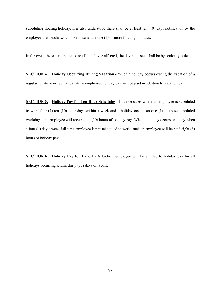scheduling floating holiday. It is also understood there shall be at least ten (10) days notification by the employee that he/she would like to schedule one (1) or more floating holidays.

In the event there is more than one (1) employee affected, the day requested shall be by seniority order.

**SECTION 4. Holiday Occurring During Vacation** - When a holiday occurs during the vacation of a regular full-time or regular part-time employee, holiday pay will be paid in addition to vacation pay.

**SECTION 5. Holiday Pay for Ten-Hour Schedules** - In those cases where an employee is scheduled to work four (4) ten (10) hour days within a week and a holiday occurs on one (1) of those scheduled workdays, the employee will receive ten (10) hours of holiday pay. When a holiday occurs on a day when a four (4) day a week full-time employee is not scheduled to work, such an employee will be paid eight (8) hours of holiday pay.

**SECTION 6. Holiday Pay for Layoff** - A laid-off employee will be entitled to holiday pay for all holidays occurring within thirty (30) days of layoff.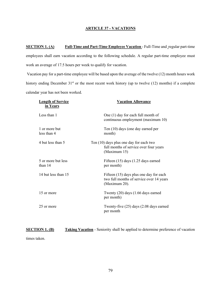#### **ARTICLE 37 - VACATIONS**

**SECTION 1. (A) Full-Time and Part-Time Employee Vacation** - Full-Time and regular part-time employees shall earn vacation according to the following schedule. A regular part-time employee must work an average of 17.5 hours per week to qualify for vacation.

Vacation pay for a part-time employee will be based upon the average of the twelve (12) month hours work history ending December 31<sup>st</sup> or the most recent work history (up to twelve (12) months) if a complete calendar year has not been worked.

| <b>Length of Service</b><br>in Years | <b>Vacation Allowance</b>                                                                            |
|--------------------------------------|------------------------------------------------------------------------------------------------------|
| Less than 1                          | One (1) day for each full month of<br>continuous employment (maximum 10)                             |
| 1 or more but<br>less than 4         | Ten (10) days (one day earned per<br>month)                                                          |
| 4 but less than 5                    | Ten (10) days plus one day for each two<br>full months of service over four years<br>(Maximum 15)    |
| 5 or more but less<br>than 14        | Fifteen (15) days (1.25 days earned<br>per month)                                                    |
| 14 but less than 15                  | Fifteen (15) days plus one day for each<br>two full months of service over 14 years<br>(Maximum 20). |
| 15 or more                           | Twenty (20) days (1.66 days earned<br>per month)                                                     |
| 25 or more                           | Twenty-five (25) days (2.08 days earned<br>per month                                                 |

#### **SECTION 1. (B) Taking Vacation** - Seniority shall be applied to determine preference of vacation

times taken.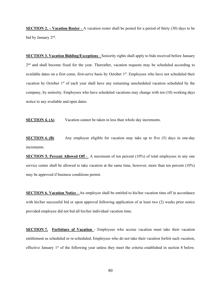**SECTION 2. – Vacation Roster** - A vacation roster shall be posted for a period of thirty (30) days to be bid by January 2nd.

**SECTION 3. Vacation Bidding/Exceptions** - Seniority rights shall apply to bids received before January 2<sup>nd</sup> and shall become fixed for the year. Thereafter, vacation requests may be scheduled according to available dates on a first come, first-serve basis by October 1<sup>st</sup>. Employees who have not scheduled their vacation by October 1<sup>st</sup> of each year shall have any remaining unscheduled vacation scheduled by the company, by seniority. Employees who have scheduled vacations may change with ten (10) working days notice to any available and open dates.

**SECTION 4. (A)** Vacation cannot be taken in less than whole day increments.

**SECTION 4. (B)** Any employee eligible for vacation may take up to five (5) days in one-day increments.

**SECTION 5. Percent Allowed Off** - A maximum of ten percent (10%) of total employees in any one service center shall be allowed to take vacation at the same time, however, more than ten percent (10%) may be approved if business conditions permit.

**SECTION 6. Vacation Notice** - An employee shall be entitled to his/her vacation time off in accordance with his/her successful bid or upon approval following application of at least two (2) weeks prior notice provided employee did not bid all his/her individual vacation time.

**SECTION 7. Forfeiture of Vacation** - Employees who accrue vacation must take their vacation entitlement as scheduled or re-scheduled. Employees who do not take their vacation forfeit such vacation, effective January  $1<sup>st</sup>$  of the following year unless they meet the criteria established in section 8 below.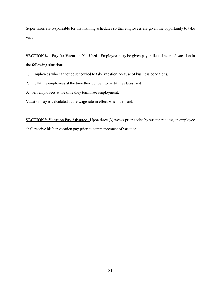Supervisors are responsible for maintaining schedules so that employees are given the opportunity to take vacation.

**SECTION 8.** Pay for Vacation Not Used - Employees may be given pay in lieu of accrued vacation in the following situations:

- 1. Employees who cannot be scheduled to take vacation because of business conditions.
- 2. Full-time employees at the time they convert to part-time status, and
- 3. All employees at the time they terminate employment.

Vacation pay is calculated at the wage rate in effect when it is paid.

**SECTION 9. Vacation Pay Advance** - Upon three (3) weeks prior notice by written request, an employee shall receive his/her vacation pay prior to commencement of vacation.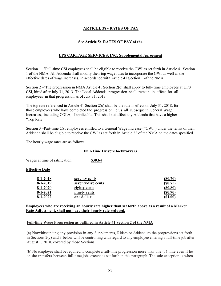# **ARTICLE 38 - RATES OF PAY**

# **See Article 5: RATES OF PAY of the**

## **UPS CARTAGE SERVICES, INC. Supplemental Agreement**

Section 1 –'Full-time CSI employees shall be eligible to receive the GWI as set forth in Article 41 Section 1 of the NMA. All Addenda shall modify their top wage rates to incorporate the GWI as well as the effective dates of wage increases, in accordance with Article 41 Section 1 of the NMA.

Section 2 –'The progression in NMA Article 41 Section 2(c) shall apply to full- time employees at UPS CSI, hired after July 31, 2013. The Local Addenda progression shall remain in effect for all employees in that progression as of July 31, 2013.

The top rate referenced in Article 41 Section 2(c) shall be the rate in effect on July 31, 2018, for those employees who have completed the progression, plus all subsequent General Wage Increases, including COLA, if applicable. This shall not affect any Addenda that have a higher "Top Rate."

Section 3 –Part-time CSI employees entitled to a General Wage Increase ("GWI") under the terms of their Addenda shall be eligible to receive the GWI as set forth in Article 22 of the NMA on the dates specified.

The hourly wage rates are as follows:

#### **Full-Time Driver/Dockworkers**

Wages at time of ratification: **\$30.64** 

#### **Effective Date**

| $8-1-2018$     | seventy cents      | (S0.70)     |
|----------------|--------------------|-------------|
| $8-1-2019$     | seventy-five cents | (S0.75)     |
| $8 - 1 - 2020$ | eighty cents       | $($ \$0.80) |
| $8-1-2021$     | ninety cents       | $($ \$0.90) |
| $8 - 1 - 2022$ | one dollar         | ( \$1.00)   |

#### **Employees who are receiving an hourly rate higher than set forth above as a result of a Market Rate Adjustment, shall not have their hourly rate reduced.**

#### **Full-time Wage Progression as outlined in Article 41 Section 2 of the NMA**

(a) Notwithstanding any provision in any Supplements, Riders or Addendum the progressions set forth in Sections 2(c) and 3 below will be controlling with regard to any employee entering a full-time job after August 1, 2018, covered by those Sections.

(b) No employee shall be required to complete a full-time progression more than one (1) time even if he or she transfers between full-time jobs except as set forth in this paragraph. The sole exception is when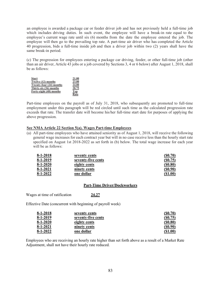an employee is awarded a package car or feeder driver job and has not previously held a full-time job which includes driving duties. In such event, the employee will have a break-in rate equal to the employee's current wage rate until six (6) months from the date the employee entered the job. The employee will then go to the prevailing top rate. A part-time air driver who has completed the Article 40 progression, bids a full-time inside job and then a driver job within two (2) years shall have the same break-in period.

(c) The progression for employees entering a package car driving, feeder, or other full-time job (other than an air driver, Article 43 jobs or a job covered by Sections 3, 4 or 6 below) after August 1, 2018, shall be as follows:

| <b>Start</b>            | 21.00 |
|-------------------------|-------|
| Twelve (12) months      | 23.00 |
| Twenty-four (24) months | 24.00 |
| Thirty-six (36) months  | 28.75 |
| Forty-eight (48) months | Top   |
|                         | Rate  |

Part-time employees on the payroll as of July 31, 2018, who subsequently are promoted to full-time employment under this paragraph will be red circled until such time as the calculated progression rate exceeds that rate. The transfer date will become his/her full-time start date for purposes of applying the above progression.

#### **See NMA Article 22 Section 5(a). Wages Part-time Employees**

(a) All part-time employees who have attained seniority as of August 1, 2018, will receive the following general wage increases for each contract year but will in no case receive less than the hourly start rate specified on August 1st 2018-2022 as set forth in (b) below. The total wage increase for each year will be as follows:

| $8-1-2018$     | seventy cents      | (S0.70)        |
|----------------|--------------------|----------------|
| $8-1-2019$     | seventy-five cents | (S0.75)        |
| $8 - 1 - 2020$ | eighty cents       | $($ \$0.80)    |
| $8-1-2021$     | ninety cents       | (S0.90)        |
| $8 - 1 - 2022$ | one dollar         | $($ \$1.00 $)$ |

#### **Part-Time Driver/Dockworkers**

Wages at time of ratification **24.27**

Effective Date (concurrent with beginning of payroll week)

| $8-1-2018$     | seventy cents      | (S0.70)     |
|----------------|--------------------|-------------|
| $8-1-2019$     | seventy-five cents | (S0.75)     |
| $8-1-2020$     | eighty cents       | $($ \$0.80) |
| $8 - 1 - 2021$ | ninety cents       | (S0.90)     |
| $8-1-2022$     | one dollar         | ( \$1.00)   |

Employees who are receiving an hourly rate higher than set forth above as a result of a Market Rate Adjustment, shall not have their hourly rate reduced.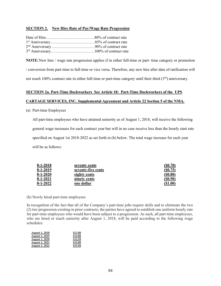#### **SECTION 2. New Hire Rate of Pay/Wage Rate Progression**

**NOTE:**New hire / wage rate progression applies if in either full-time or part- time category or promotion / conversion from part-time to full-time or vice versa. Therefore, any new hire after date of ratification will not reach 100% contract rate in either full-time or part-time category until their third (3<sup>rd</sup>) anniversary.

# **SECTION 2a. Part-Time Dockworkers See Article 18: Part-Time Dockworkers of the UPS**

# **CARTAGE SERVICES, INC. Supplemental Agreement and Article 22 Section 5 of the NMA.**

(a) Part-time Employees

All part-time employees who have attained seniority as of August 1, 2018, will receive the following general wage increases for each contract year but will in no case receive less than the hourly start rate specified on August 1st 2018-2022 as set forth in (b) below. The total wage increase for each year will be as follows:

| $8 - 1 - 2018$ | seventy cents      | (S0.70)        |
|----------------|--------------------|----------------|
| $8-1-2019$     | seventy-five cents | (S0.75)        |
| $8-1-2020$     | eighty cents       | $($ \$0.80)    |
| $8-1-2021$     | ninety cents       | $($ \$0.90 $)$ |
| $8 - 1 - 2022$ | one dollar         | (S1.00)        |

(b) Newly hired part-time employees

In recognition of the fact that all of the Company's part-time jobs require skills and to eliminate the two (2) tier progression existing in prior contracts, the parties have agreed to establish one uniform hourly rate for part-time employees who would have been subject to a progression. As such, all part-time employees, who are hired or reach seniority after August 1, 2018, will be paid according to the following wage schedules:

| <b>August 1, 2018</b> | \$13.00 |
|-----------------------|---------|
| <b>August 1, 2019</b> | \$14.00 |
| <b>August 1, 2020</b> | \$14.50 |
| <b>August 1, 2021</b> | \$15.00 |
| <b>August 1, 2022</b> | \$15.50 |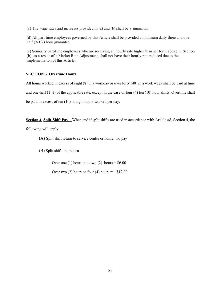(c) The wage rates and increases provided in (a) and (b) shall be a minimum.

(d) All part-time employees governed by this Article shall be provided a minimum daily three and onehalf (3-1/2) hour guarantee.

(e) Seniority part-time employees who are receiving an hourly rate higher than set forth above in Section (b), as a result of a Market Rate Adjustment, shall not have their hourly rate reduced due to the implementation of this Article.

## **SECTION 3. Overtime Hours**

All hours worked in excess of eight (8) in a workday or over forty (40) in a work week shall be paid at time and one-half  $(1 \frac{1}{2})$  of the applicable rate, except in the case of four (4) ten (10) hour shifts. Overtime shall be paid in excess of ten (10) straight hours worked per day.

**Section 4. Split-Shift Pay** – When and if split shifts are used in accordance with Article #8, Section 4, the

following will apply:

- (A) Split shift return to service center or home: no pay
- (B) Split shift: no return

Over one (1) hour up to two (2) hours =  $$6.00$ 

Over two (2) hours to four (4) hours =  $$12.00$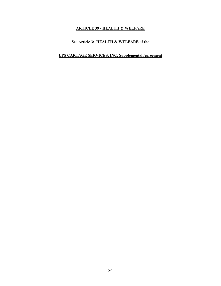# **ARTICLE 39 - HEALTH & WELFARE**

# **See Article 3: HEALTH & WELFARE of the**

# **UPS CARTAGE SERVICES, INC. Supplemental Agreement**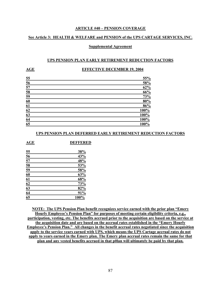#### **ARTICLE #40 – PENSION COVERAGE**

#### **See Article 3: HEALTH & WELFARE and PENSION of the UPS CARTAGE SERVICES, INC.**

#### **Supplemental Agreement**

#### **UPS PENSION PLAN EARLY RETIREMENT REDUCTION FACTORS**

#### **AGE EFFECTIVE DECEMBER 19, 2004**

| 55              | 55%  |
|-----------------|------|
| $\frac{56}{57}$ | 58%  |
|                 | 62%  |
| $\frac{58}{59}$ | 66%  |
|                 | 73%  |
| 60              | 80%  |
| 61              | 86%  |
| 62              | 100% |
| 63              | 100% |
| 64              | 100% |
| $\overline{65}$ | 100% |
|                 |      |

#### **UPS PENSION PLAN DEFERRED EARLY RETIREMENT REDUCTION FACTORS**

|                                    | 38%  |
|------------------------------------|------|
| $\frac{55}{56}$                    | 43%  |
| $\overline{57}$                    | 48%  |
| $\frac{58}{59}$                    | 53%  |
|                                    | 58%  |
| 60                                 | 63%  |
| 61                                 | 68%  |
|                                    | 73%  |
| $\frac{62}{63}$<br>$\frac{63}{64}$ | 82%  |
|                                    | 91%  |
|                                    | 100% |

**NOTE: The UPS Pension Plan benefit recognizes service earned with the prior plan "Emery Hourly Employee's Pension Plan" for purposes of meeting certain eligibility criteria, e.g., participation, vesting, etc. The benefits accrued prior to the acquisition are based on the service at the acquisition date and are based on the accrual rates established in the "Emery Hourly Employee's Pension Plan." All changes in the benefit accrual rates negotiated since the acquisition apply to the service years earned with UPS, which means the UPS Cartage accrual rates do not apply to years earned in the Emery plan. The Emery plan accrual rates remain the same for that plan and any vested benefits accrued in that p0lan will ultimately be paid by that plan.**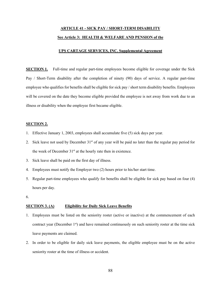# **ARTICLE 41 - SICK PAY / SHORT-TERM DISABILITY See Article 3: HEALTH & WELFARE AND PENSION of the**

# **UPS CARTAGE SERVICES, INC. Supplemental Agreement**

**SECTION 1.** Full-time and regular part-time employees become eligible for coverage under the Sick Pay / Short-Term disability after the completion of ninety (90) days of service. A regular part-time employee who qualifies for benefits shall be eligible for sick pay / short term disability benefits. Employees will be covered on the date they become eligible provided the employee is not away from work due to an illness or disability when the employee first became eligible.

#### **SECTION 2.**

- 1. Effective January 1, 2003, employees shall accumulate five (5) sick days per year.
- 2. Sick leave not used by December  $31<sup>st</sup>$  of any year will be paid no later than the regular pay period for the week of December  $31<sup>st</sup>$  at the hourly rate then in existence.
- 3. Sick leave shall be paid on the first day of illness.
- 4. Employees must notify the Employer two (2) hours prior to his/her start time.
- 5. Regular part-time employees who qualify for benefits shall be eligible for sick pay based on four (4) hours per day.
- 6.

#### **SECTION 3. (A) Eligibility for Daily Sick Leave Benefits**

- 1. Employees must be listed on the seniority roster (active or inactive) at the commencement of each contract year (December 1<sup>st</sup>) and have remained continuously on such seniority roster at the time sick leave payments are claimed.
- 2. In order to be eligible for daily sick leave payments, the eligible employee must be on the active seniority roster at the time of illness or accident.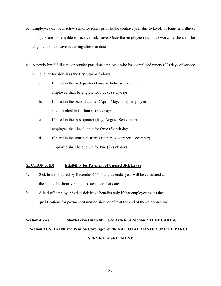- 3. Employees on the inactive seniority roster prior to the contract year due to layoff or long-term illness or injury are not eligible to receive sick leave. Once the employee returns to work, he/she shall be eligible for sick leave occurring after that date.
- 4. A newly hired full-time or regular part-time employee who has completed ninety (90) days of service will qualify for sick days the first year as follows:
	- a. If hired in the first quarter (January, February, March, employee shall be eligible for five (5) sick days.
	- b. If hired in the second quarter (April, May, June), employee shall be eligible for four (4) sick days.
	- c. If hired in the third quarter (July, August, September), employee shall be eligible for three (3) sick days.
	- d. If hired in the fourth quarter (October, November, December), employee shall be eligible for two (2) sick days.

# **SECTION 3. (B) Eligibility for Payment of Unused Sick Leave**

- 1. Sick leave not used by December  $31<sup>st</sup>$  of any calendar year will be calculated at the applicable hourly rate in existence on that date.
- 2. A laid-off employee is due sick leave benefits only if that employee meets the qualifications for payment of unused sick benefits at the end of the calendar year.

# **Section 4. (A)** Short-Term Disability See Article 34 Section 2 TEAMCARE & **Section 3 CSI Health and Pension Coverage: of the NATIONAL MASTER UNITED PARCEL SERVICE AGREEMENT**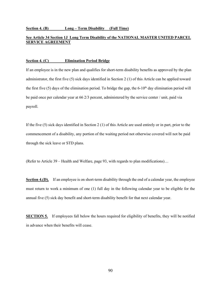#### **Section 4. (B) Long – Term Disability (Full Time)**

#### **See Article 34 Section 1J Long Term Disability of the NATIONAL MASTER UNITED PARCEL SERVICE AGREEMENT**

#### **Section 4. (C) Elimination Period Bridge**

If an employee is in the new plan and qualifies for short-term disability benefits as approved by the plan administrator, the first five (5) sick days identified in Section 2 (1) of this Article can be applied toward the first five  $(5)$  days of the elimination period. To bridge the gap, the 6-10<sup>th</sup> day elimination period will be paid once per calendar year at 66 2/3 percent, administered by the service center / unit, paid via payroll.

If the five (5) sick days identified in Section 2 (1) of this Article are used entirely or in part, prior to the commencement of a disability, any portion of the waiting period not otherwise covered will not be paid through the sick leave or STD plans.

(Refer to Article 39 – Health and Welfare, page 93, with regards to plan modifications)…

**Section 4.(D).** If an employee is on short-term disability through the end of a calendar year, the employee must return to work a minimum of one (1) full day in the following calendar year to be eligible for the annual five (5) sick day benefit and short-term disability benefit for that next calendar year.

**SECTION 5.** If employees fall below the hours required for eligibility of benefits, they will be notified in advance when their benefits will cease.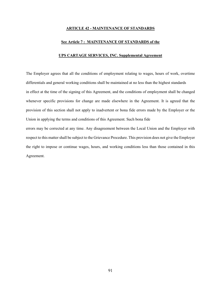#### **ARTICLE 42 - MAINTENANCE OF STANDARDS**

#### **See Article 7 : MAINTENANCE OF STANDARDS of the**

#### **UPS CARTAGE SERVICES, INC. Supplemental Agreement**

The Employer agrees that all the conditions of employment relating to wages, hours of work, overtime differentials and general working conditions shall be maintained at no less than the highest standards in effect at the time of the signing of this Agreement, and the conditions of employment shall be changed whenever specific provisions for change are made elsewhere in the Agreement. It is agreed that the provision of this section shall not apply to inadvertent or bona fide errors made by the Employer or the Union in applying the terms and conditions of this Agreement. Such bona fide errors may be corrected at any time. Any disagreement between the Local Union and the Employer with

respect to this matter shall be subject to the Grievance Procedure. This provision does not give the Employer the right to impose or continue wages, hours, and working conditions less than those contained in this Agreement.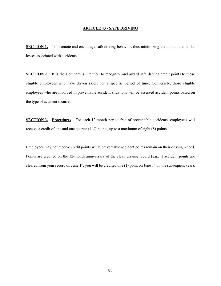#### **ARTICLE 43 - SAFE DRIVING**

**SECTION 1.** To promote and encourage safe driving behavior, thus minimizing the human and dollar losses associated with accidents.

**SECTION 2.** It is the Company's intention to recognize and award safe driving credit points to those eligible employees who have driven safely for a specific period of time. Conversely, those eligible employees who are involved in preventable accident situations will be assessed accident points based on the type of accident incurred.

**SECTION 3. Procedures** - For each 12-month period free of preventable accidents, employees will receive a credit of one and one quarter  $(1 \frac{1}{4})$  points, up to a maximum of eight (8) points.

Employees may not receive credit points while preventable accident points remain on their driving record. Points are credited on the 12-month anniversary of the clean driving record (e.g., if accident points are cleared from your record on June 1<sup>st</sup>, you will be credited one (1) point on June 1<sup>st</sup> on the subsequent year).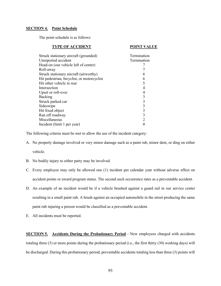#### **SECTION 4. Point Schedule**

The point schedule is as follows:

| <b>TYPE OF ACCIDENT</b>                    | <b>POINT VALUE</b> |  |
|--------------------------------------------|--------------------|--|
| Struck stationary aircraft (grounded)      | Termination        |  |
| Unreported accident                        | Termination        |  |
| Head-on (our vehicle left of center)       |                    |  |
| Roll-away                                  |                    |  |
| Struck stationary aircraft (airworthy)     | 6                  |  |
| Hit pedestrian, bicyclist, or motorcyclist | 6                  |  |
| Hit other vehicle in rear                  | 5                  |  |
| Intersection                               | 4                  |  |
| Upset or roll-over                         | 4                  |  |
| Backing                                    | 3                  |  |
| Struck parked car                          | 3                  |  |
| Sideswipe                                  | 3                  |  |
| Hit fixed object                           | 3                  |  |
| Ran off roadway                            | 3                  |  |
| Miscellaneous                              | $\overline{2}$     |  |
| Incident (limit 1 per year)                |                    |  |

The following criteria must be met to allow the use of the incident category:

- A. No property damage involved or very minor damage such as a paint rub, minor dent, or ding on either vehicle.
- B. No bodily injury to either party may be involved.
- C. Every employee may only be allowed one (1) incident per calendar year without adverse effect on accident points or award program status. The second such occurrence rates as a preventable accident.
- D. An example of an incident would be if a vehicle brushed against a guard rail in our service center resulting in a small paint rub. A brush against an occupied automobile in the street producing the same paint rub injuring a person would be classified as a preventable accident.
- E. All incidents must be reported.

**SECTION 5.** Accidents During the Probationary Period - New employees charged with accidents totaling three (3) or more points during the probationary period (i.e., the first thirty (30) working days) will be discharged. During this probationary period, preventable accidents totaling less than three (3) points will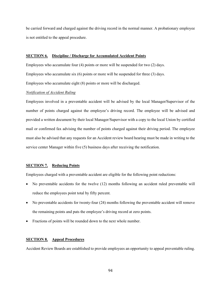be carried forward and charged against the driving record in the normal manner. A probationary employee is not entitled to the appeal procedure.

#### **SECTION 6. Discipline / Discharge for Accumulated Accident Points**

Employees who accumulate four (4) points or more will be suspended for two (2) days. Employees who accumulate six (6) points or more will be suspended for three (3) days. Employees who accumulate eight (8) points or more will be discharged.

#### *Notification of Accident Ruling*

Employees involved in a preventable accident will be advised by the local Manager**/**Supervisor of the number of points charged against the employee's driving record. The employee will be advised and provided a written document by their local Manager/Supervisor with a copy to the local Union by certified mail or confirmed fax advising the number of points charged against their driving period. The employee must also be advised that any requests for an Accident review board hearing must be made in writing to the service center Manager within five (5) business days after receiving the notification.

#### **SECTION 7. Reducing Points**

Employees charged with a preventable accident are eligible for the following point reductions:

- No preventable accidents for the twelve (12) months following an accident ruled preventable will reduce the employees point total by fifty percent.
- No preventable accidents for twenty-four (24) months following the preventable accident will remove the remaining points and puts the employee's driving record at zero points.
- Fractions of points will be rounded down to the next whole number.

#### **SECTION 8. Appeal Procedures**

Accident Review Boards are established to provide employees an opportunity to appeal preventable ruling.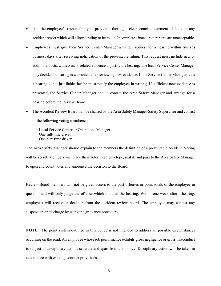- It is the employee's responsibility to provide a thorough, clear, concise statement of facts on any accident report which will allow a ruling to be made. Incomplete / inaccurate reports are unacceptable.
- Employees must give their Service Center Manager a written request for a hearing within five (5) business days after receiving notification of the preventable ruling. This request must include new or additional facts, witnesses, or related evidence to justify the hearing. The local Service Center Manager may decide if a hearing is warranted after reviewing new evidence. If the Service Center Manager feels a hearing is not justifiable, he/she must notify the employee in writing. If sufficient new evidence is presented, the Service Center Manager should contact the Area Safety Manager and arrange for a hearing before the Review Board.
- The Accident Review Board will be chaired by the Area Safety Manager/Safety Supervisor and consist of the following voting members:

Local Service Center or Operations Manager One full-time driver One part-time driver

The Area Safety Manager should explain to the members the definition of a preventable accident. Voting will be secret. Members will place their votes in an envelope, seal it, and pass to the Area Safety Manager to open and count votes and announce the decision to the Board.

Review Board members will not be given access to the past offenses or point totals of the employee in question and will only judge the offense which initiated the hearing. Within one week after a hearing, employees will receive a decision from the accident review board. The employee may contest any suspension or discharge by using the grievance procedure.

**NOTE:** The point system outlined in this policy is not intended to address all possible circumstances occurring on the road. An employee whose job performance exhibits gross negligence or gross misconduct is subject to disciplinary actions separate and apart from this policy. Disciplinary action will be taken in accordance with existing contract provisions.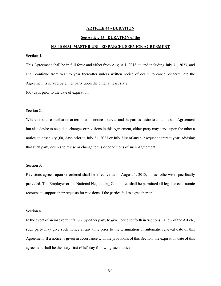#### **ARTICLE 44 - DURATION**

#### **See Article 45: DURATION of the**

#### **NATIONAL MASTER UNITED PARCEL SERVICE AGREEMENT**

#### **Section 1.**

This Agreement shall be in full force and effect from August 1, 2018, to and including July 31, 2023, and shall continue from year to year thereafter unless written notice of desire to cancel or terminate the Agreement is served by either party upon the other at least sixty

(60) days prior to the date of expiration.

#### Section 2.

Where no such cancellation or termination notice is served and the parties desire to continue said Agreement but also desire to negotiate changes or revisions in this Agreement, either party may serve upon the other a notice at least sixty (60) days prior to July 31, 2023 or July 31st of any subsequent contract year, advising that such party desires to revise or change terms or conditions of such Agreement.

#### Section 3.

Revisions agreed upon or ordered shall be effective as of August 1, 2018, unless otherwise specifically provided. The Employer or the National Negotiating Committee shall be permitted all legal or eco- nomic recourse to support their requests for revisions if the parties fail to agree therein.

#### Section 4.

In the event of an inadvertent failure by either party to give notice set forth in Sections 1 and 2 of the Article, such party may give such notice at any time prior to the termination or automatic renewal date of this Agreement. If a notice is given in accordance with the provisions of this Section, the expiration date of this agreement shall be the sixty-first (61st) day following such notice.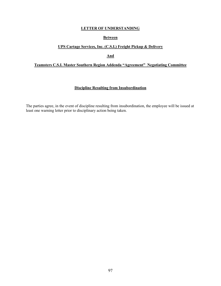#### **Between**

# **UPS Cartage Services, Inc. (C.S.I.) Freight Pickup & Delivery**

**And**

# **Teamsters C.S.I. Master Southern Region Addenda "Agreement" Negotiating Committee**

# **Discipline Resulting from Insubordination**

The parties agree, in the event of discipline resulting from insubordination, the employee will be issued at least one warning letter prior to disciplinary action being taken.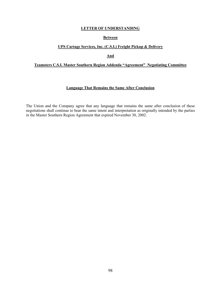## **Between**

# **UPS Cartage Services, Inc. (C.S.I.) Freight Pickup & Delivery**

**And**

# **Teamsters C.S.I. Master Southern Region Addenda "Agreement" Negotiating Committee**

#### **Language That Remains the Same After Conclusion**

The Union and the Company agree that any language that remains the same after conclusion of these negotiations shall continue to bear the same intent and interpretation as originally intended by the parties in the Master Southern Region Agreement that expired November 30, 2002.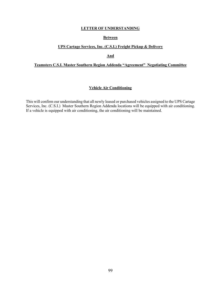#### **Between**

#### **UPS Cartage Services, Inc. (C.S.I.) Freight Pickup & Delivery**

**And**

# **Teamsters C.S.I. Master Southern Region Addenda "Agreement" Negotiating Committee**

#### **Vehicle Air Conditioning**

This will confirm our understanding that all newly leased or purchased vehicles assigned to the UPS Cartage Services, Inc. (C.S.I.) Master Southern Region Addenda locations will be equipped with air conditioning. If a vehicle is equipped with air conditioning, the air conditioning will be maintained.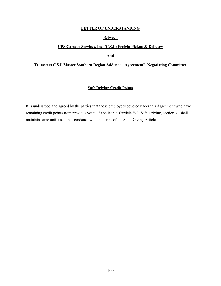#### **Between**

# **UPS Cartage Services, Inc. (C.S.I.) Freight Pickup & Delivery**

**And**

#### **Teamsters C.S.I. Master Southern Region Addenda "Agreement" Negotiating Committee**

#### **Safe Driving Credit Points**

It is understood and agreed by the parties that those employees covered under this Agreement who have remaining credit points from previous years, if applicable, (Article #43, Safe Driving, section 3), shall maintain same until used in accordance with the terms of the Safe Driving Article.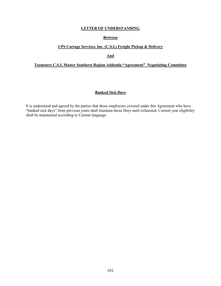#### **Between**

# **UPS Cartage Services, Inc. (C.S.I.) Freight Pickup & Delivery**

**And**

# **Teamsters C.S.I. Master Southern Region Addenda "Agreement" Negotiating Committee**

#### **Banked Sick Days**

It is understood and agreed by the parties that those employees covered under this Agreement who have "banked sick days" from previous years shall maintain those Days until exhausted. Current year eligibility shall be maintained according to Current language.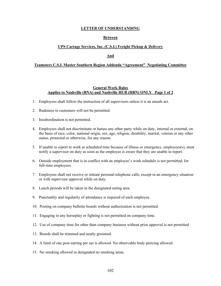#### **Between**

#### **UPS Cartage Services, Inc. (C.S.I.) Freight Pickup & Delivery**

#### **And**

#### **Teamsters C.S.I. Master Southern Region Addenda "Agreement" Negotiating Committee**

#### **General Work Rules Applies to Nashville (BNA) and Nashville HUB (HBN) ONLY Page 1 of 2**

- 1. Employees shall follow the instruction of all supervisors unless it is an unsafe act.
- 2. Rudeness to customers will not be permitted.
- 3. Insubordination is not permitted.
- 4. Employees shall not discriminate or harass any other party while on duty, internal or external, on the basis of race, color, national origin, sex, age, religion, disability, marital, veteran or any other status, protected or otherwise, for any reason.
- 5. If unable to report to work at scheduled time because of illness or emergency, employees(s), must notify a supervisor on duty as soon as the employee is aware that they are unable to report.
- 6. Outside employment that is in conflict with an employee's work schedule is not permitted, for full-time employees.
- 7. Employees shall not receive or initiate personal telephone calls, except in an emergency situation or with supervisor approval while on duty.
- 8. Lunch periods will be taken in the designated eating area.
- 9. Punctuality and regularity of attendance is required of each employee.
- 10. Posting on company bulletin boards without authorization is not permitted.
- 11. Engaging in any horseplay or fighting is not permitted on company time.
- 12. Use of company time for other than company business without prior approval is not permitted
- 13. Beards shall be trimmed and neatly groomed.
- 14. A limit of one post earring per ear is allowed. No observable body piercing allowed.
- 15. No smoking allowed in designated no smoking areas.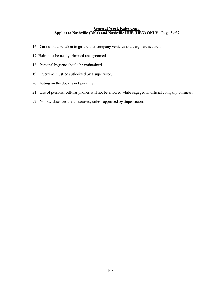#### **General Work Rules Cont. Applies to Nashville (BNA) and Nashville HUB (HBN) ONLY Page 2 of 2**

- 16. Care should be taken to **e**nsure that company vehicles and cargo are secured.
- 17. Hair must be neatly trimmed and groomed.
- 18. Personal hygiene should be maintained.
- 19. Overtime must be authorized by a supervisor.
- 20. Eating on the dock is not permitted.
- 21. Use of personal cellular phones will not be allowed while engaged in official company business.
- 22. No-pay absences are unexcused, unless approved by Supervision.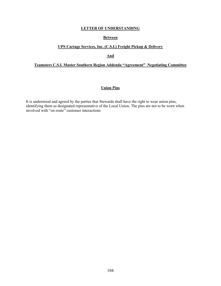#### **Between**

# **UPS Cartage Services, Inc. (C.S.I.) Freight Pickup & Delivery**

**And**

# **Teamsters C.S.I. Master Southern Region Addenda "Agreement" Negotiating Committee**

#### **Union Pins**

It is understood and agreed by the parties that Stewards shall have the right to wear union pins, identifying them as designated representative of the Local Union. The pins are not to be worn when involved with "on route" customer interactions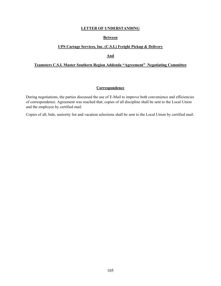## **Between**

# **UPS Cartage Services, Inc. (C.S.I.) Freight Pickup & Delivery**

#### **And**

#### **Teamsters C.S.I. Master Southern Region Addenda "Agreement" Negotiating Committee**

#### **Correspondence**

During negotiations, the parties discussed the use of E-Mail to improve both convenience and efficiencies of correspondence. Agreement was reached that; copies of all discipline shall be sent to the Local Union and the employee by certified mail.

Copies of all, bids, seniority list and vacation selections shall be sent to the Local Union by certified mail.